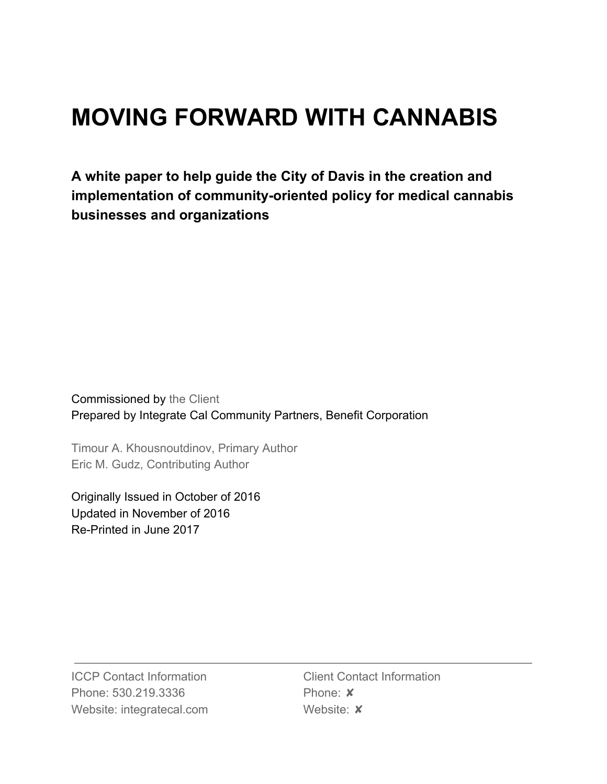# **MOVING FORWARD WITH CANNABIS**

**A white paper to help guide the City of Davis in the creation and implementation of community-oriented policy for medical cannabis businesses and organizations**

Commissioned by the Client Prepared by Integrate Cal Community Partners, Benefit Corporation

Timour A. Khousnoutdinov, Primary Author Eric M. Gudz, Contributing Author

Originally Issued in October of 2016 Updated in November of 2016 Re-Printed in June 2017

ICCP Contact Information Phone: 530.219.3336 Website: integratecal.com

Client Contact Information Phone: ✘ Website: **x**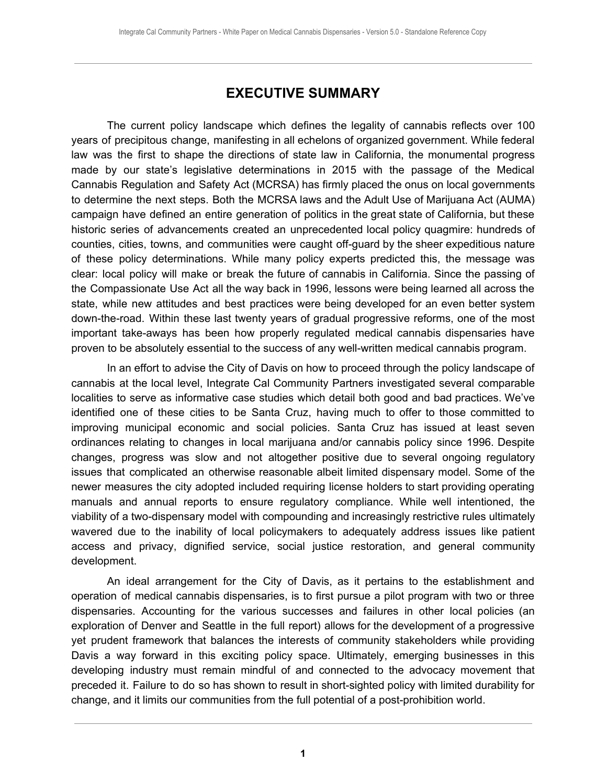## **EXECUTIVE SUMMARY**

<span id="page-1-0"></span>The current policy landscape which defines the legality of cannabis reflects over 100 years of precipitous change, manifesting in all echelons of organized government. While federal law was the first to shape the directions of state law in California, the monumental progress made by our state's legislative determinations in 2015 with the passage of the Medical Cannabis Regulation and Safety Act (MCRSA) has firmly placed the onus on local governments to determine the next steps. Both the MCRSA laws and the Adult Use of Marijuana Act (AUMA) campaign have defined an entire generation of politics in the great state of California, but these historic series of advancements created an unprecedented local policy quagmire: hundreds of counties, cities, towns, and communities were caught off-guard by the sheer expeditious nature of these policy determinations. While many policy experts predicted this, the message was clear: local policy will make or break the future of cannabis in California. Since the passing of the Compassionate Use Act all the way back in 1996, lessons were being learned all across the state, while new attitudes and best practices were being developed for an even better system down-the-road. Within these last twenty years of gradual progressive reforms, one of the most important take-aways has been how properly regulated medical cannabis dispensaries have proven to be absolutely essential to the success of any well-written medical cannabis program.

In an effort to advise the City of Davis on how to proceed through the policy landscape of cannabis at the local level, Integrate Cal Community Partners investigated several comparable localities to serve as informative case studies which detail both good and bad practices. We've identified one of these cities to be Santa Cruz, having much to offer to those committed to improving municipal economic and social policies. Santa Cruz has issued at least seven ordinances relating to changes in local marijuana and/or cannabis policy since 1996. Despite changes, progress was slow and not altogether positive due to several ongoing regulatory issues that complicated an otherwise reasonable albeit limited dispensary model. Some of the newer measures the city adopted included requiring license holders to start providing operating manuals and annual reports to ensure regulatory compliance. While well intentioned, the viability of a two-dispensary model with compounding and increasingly restrictive rules ultimately wavered due to the inability of local policymakers to adequately address issues like patient access and privacy, dignified service, social justice restoration, and general community development.

An ideal arrangement for the City of Davis, as it pertains to the establishment and operation of medical cannabis dispensaries, is to first pursue a pilot program with two or three dispensaries. Accounting for the various successes and failures in other local policies (an exploration of Denver and Seattle in the full report) allows for the development of a progressive yet prudent framework that balances the interests of community stakeholders while providing Davis a way forward in this exciting policy space. Ultimately, emerging businesses in this developing industry must remain mindful of and connected to the advocacy movement that preceded it. Failure to do so has shown to result in short-sighted policy with limited durability for change, and it limits our communities from the full potential of a post-prohibition world.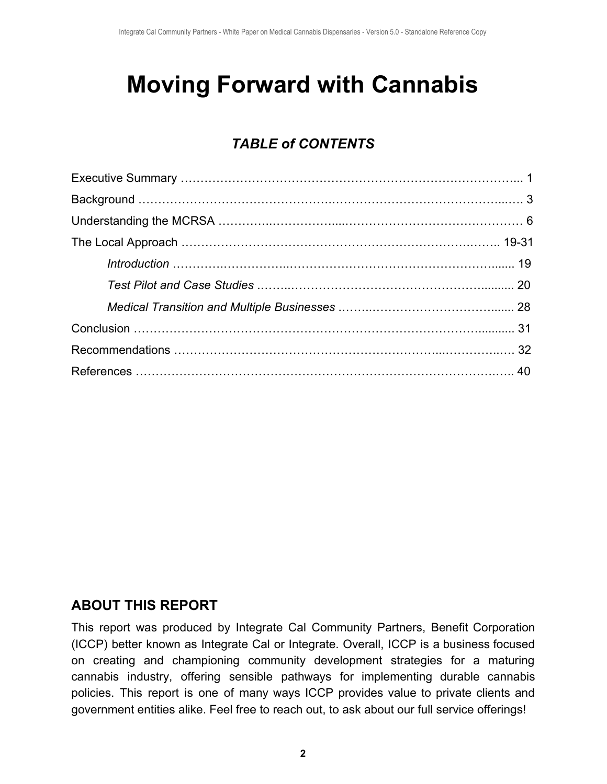# **Moving Forward with Cannabis**

# *TABLE of CONTENTS*

# **ABOUT THIS REPORT**

This report was produced by Integrate Cal Community Partners, Benefit Corporation (ICCP) better known as Integrate Cal or Integrate. Overall, ICCP is a business focused on creating and championing community development strategies for a maturing cannabis industry, offering sensible pathways for implementing durable cannabis policies. This report is one of many ways ICCP provides value to private clients and government entities alike. Feel free to reach out, to ask about our full service offerings!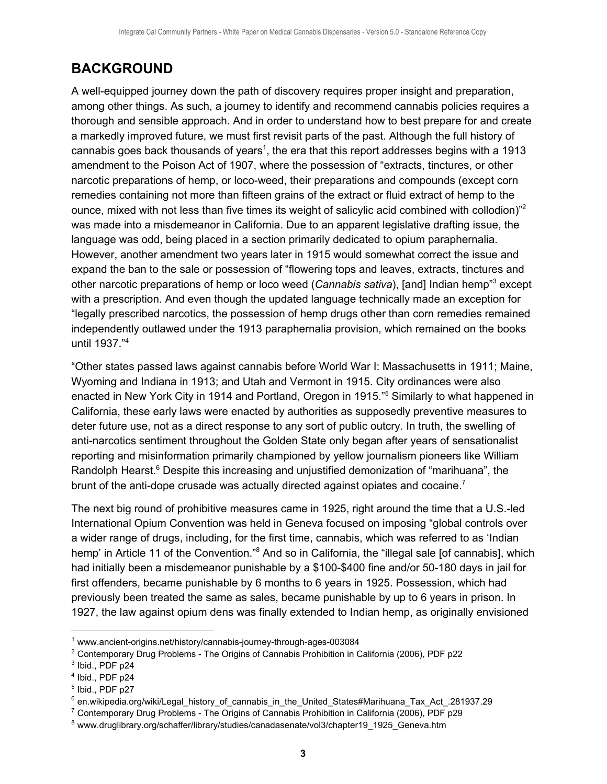# <span id="page-3-0"></span>**BACKGROUND**

A well-equipped journey down the path of discovery requires proper insight and preparation, among other things. As such, a journey to identify and recommend cannabis policies requires a thorough and sensible approach. And in order to understand how to best prepare for and create a markedly improved future, we must first revisit parts of the past. Although the full history of cannabis goes back thousands of years<sup>1</sup>, the era that this report addresses begins with a 1913 amendment to the Poison Act of 1907, where the possession of "extracts, tinctures, or other narcotic preparations of hemp, or loco-weed, their preparations and compounds (except corn remedies containing not more than fifteen grains of the extract or fluid extract of hemp to the ounce, mixed with not less than five times its weight of salicylic acid combined with collodion)"<sup>2</sup> was made into a misdemeanor in California. Due to an apparent legislative drafting issue, the language was odd, being placed in a section primarily dedicated to opium paraphernalia. However, another amendment two years later in 1915 would somewhat correct the issue and expand the ban to the sale or possession of "flowering tops and leaves, extracts, tinctures and other narcotic preparations of hemp or loco weed (Cannabis sativa), [and] Indian hemp<sup>3</sup> except with a prescription. And even though the updated language technically made an exception for "legally prescribed narcotics, the possession of hemp drugs other than corn remedies remained independently outlawed under the 1913 paraphernalia provision, which remained on the books until 1937." 4

"Other states passed laws against cannabis before World War I: Massachusetts in 1911; Maine, Wyoming and Indiana in 1913; and Utah and Vermont in 1915. City ordinances were also enacted in New York City in 1914 and Portland, Oregon in 1915."<sup>5</sup> Similarly to what happened in California, these early laws were enacted by authorities as supposedly preventive measures to deter future use, not as a direct response to any sort of public outcry. In truth, the swelling of anti-narcotics sentiment throughout the Golden State only began after years of sensationalist reporting and misinformation primarily championed by yellow journalism pioneers like William Randolph Hearst.<sup>6</sup> Despite this increasing and unjustified demonization of "marihuana", the brunt of the anti-dope crusade was actually directed against opiates and cocaine.<sup>7</sup>

The next big round of prohibitive measures came in 1925, right around the time that a U.S.-led International Opium Convention was held in Geneva focused on imposing "global controls over a wider range of drugs, including, for the first time, cannabis, which was referred to as 'Indian hemp' in Article 11 of the Convention."<sup>8</sup> And so in California, the "illegal sale [of cannabis], which had initially been a misdemeanor punishable by a \$100-\$400 fine and/or 50-180 days in jail for first offenders, became punishable by 6 months to 6 years in 1925. Possession, which had previously been treated the same as sales, became punishable by up to 6 years in prison. In 1927, the law against opium dens was finally extended to Indian hemp, as originally envisioned

<sup>1</sup> www.ancient-origins.net/history/cannabis-journey-through-ages-003084

<sup>2</sup> Contemporary Drug Problems - The Origins of Cannabis Prohibition in California (2006), PDF p22

 $3$  Ibid., PDF p24

<sup>4</sup> Ibid., PDF p24

<sup>&</sup>lt;sup>5</sup> Ibid., PDF p27

 $6$  en.wikipedia.org/wiki/Legal\_history\_of\_cannabis\_in\_the\_United\_States#Marihuana\_Tax\_Act\_.281937.29

<sup>7</sup> Contemporary Drug Problems - The Origins of Cannabis Prohibition in California (2006), PDF p29

<sup>8</sup> www.druglibrary.org/schaffer/library/studies/canadasenate/vol3/chapter19\_1925\_Geneva.htm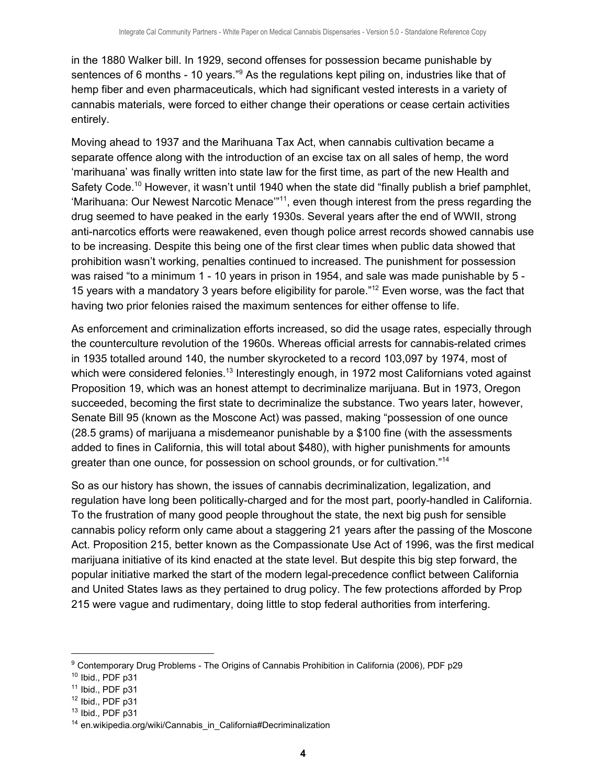in the 1880 Walker bill. In 1929, second offenses for possession became punishable by sentences of 6 months - 10 years."<sup>9</sup> As the regulations kept piling on, industries like that of hemp fiber and even pharmaceuticals, which had significant vested interests in a variety of cannabis materials, were forced to either change their operations or cease certain activities entirely.

Moving ahead to 1937 and the Marihuana Tax Act, when cannabis cultivation became a separate offence along with the introduction of an excise tax on all sales of hemp, the word 'marihuana' was finally written into state law for the first time, as part of the new Health and Safety Code.<sup>10</sup> However, it wasn't until 1940 when the state did "finally publish a brief pamphlet, 'Marihuana: Our Newest Narcotic Menace"<sup>11</sup>, even though interest from the press regarding the drug seemed to have peaked in the early 1930s. Several years after the end of WWII, strong anti-narcotics efforts were reawakened, even though police arrest records showed cannabis use to be increasing. Despite this being one of the first clear times when public data showed that prohibition wasn't working, penalties continued to increased. The punishment for possession was raised "to a minimum 1 - 10 years in prison in 1954, and sale was made punishable by 5 - 15 years with a mandatory 3 years before eligibility for parole."<sup>12</sup> Even worse, was the fact that having two prior felonies raised the maximum sentences for either offense to life.

As enforcement and criminalization efforts increased, so did the usage rates, especially through the counterculture revolution of the 1960s. Whereas official arrests for cannabis-related crimes in 1935 totalled around 140, the number skyrocketed to a record 103,097 by 1974, most of which were considered felonies.<sup>13</sup> Interestingly enough, in 1972 most Californians voted against Proposition 19, which was an honest attempt to decriminalize marijuana. But in 1973, Oregon succeeded, becoming the first state to decriminalize the substance. Two years later, however, Senate Bill 95 (known as the Moscone Act) was passed, making "possession of one ounce (28.5 grams) of marijuana a misdemeanor punishable by a \$100 fine (with the assessments added to fines in California, this will total about \$480), with higher punishments for amounts greater than one ounce, for possession on school grounds, or for cultivation." 14

So as our history has shown, the issues of cannabis decriminalization, legalization, and regulation have long been politically-charged and for the most part, poorly-handled in California. To the frustration of many good people throughout the state, the next big push for sensible cannabis policy reform only came about a staggering 21 years after the passing of the Moscone Act. Proposition 215, better known as the Compassionate Use Act of 1996, was the first medical marijuana initiative of its kind enacted at the state level. But despite this big step forward, the popular initiative marked the start of the modern legal-precedence conflict between California and United States laws as they pertained to drug policy. The few protections afforded by Prop 215 were vague and rudimentary, doing little to stop federal authorities from interfering.

<sup>9</sup> Contemporary Drug Problems - The Origins of Cannabis Prohibition in California (2006), PDF p29

 $10$  Ibid., PDF p31

 $11$  Ibid., PDF p31

 $12$  Ibid., PDF p31

 $13$  Ibid., PDF p31

<sup>&</sup>lt;sup>14</sup> en.wikipedia.org/wiki/Cannabis\_in\_California#Decriminalization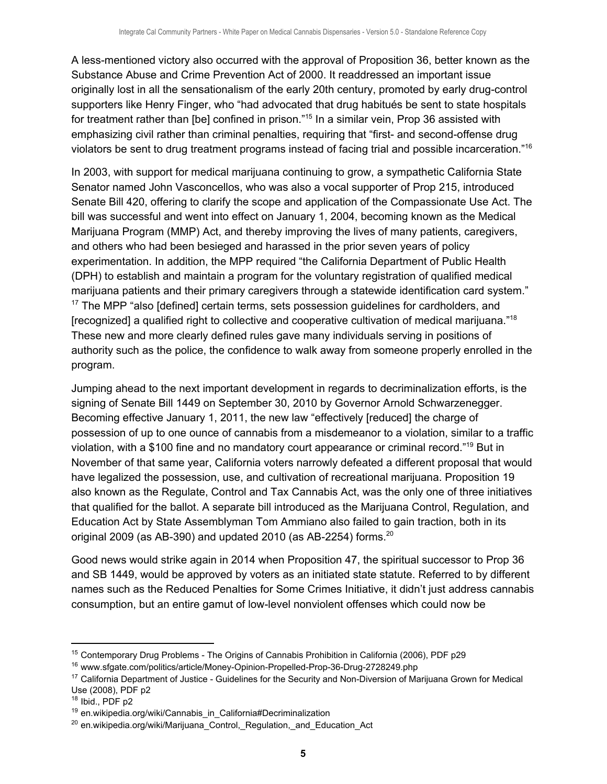A less-mentioned victory also occurred with the approval of Proposition 36, better known as the Substance Abuse and Crime Prevention Act of 2000. It readdressed an important issue originally lost in all the sensationalism of the early 20th century, promoted by early drug-control supporters like Henry Finger, who "had advocated that drug habitués be sent to state hospitals for treatment rather than [be] confined in prison."<sup>15</sup> In a similar vein, Prop 36 assisted with emphasizing civil rather than criminal penalties, requiring that "first- and second-offense drug violators be sent to drug treatment programs instead of facing trial and possible incarceration."<sup>16</sup>

In 2003, with support for medical marijuana continuing to grow, a sympathetic California State Senator named John Vasconcellos, who was also a vocal supporter of Prop 215, introduced Senate Bill 420, offering to clarify the scope and application of the Compassionate Use Act. The bill was successful and went into effect on January 1, 2004, becoming known as the Medical Marijuana Program (MMP) Act, and thereby improving the lives of many patients, caregivers, and others who had been besieged and harassed in the prior seven years of policy experimentation. In addition, the MPP required "the California Department of Public Health (DPH) to establish and maintain a program for the voluntary registration of qualified medical marijuana patients and their primary caregivers through a statewide identification card system."  $17$  The MPP "also [defined] certain terms, sets possession guidelines for cardholders, and [recognized] a qualified right to collective and cooperative cultivation of medical marijuana."<sup>18</sup> These new and more clearly defined rules gave many individuals serving in positions of authority such as the police, the confidence to walk away from someone properly enrolled in the program.

Jumping ahead to the next important development in regards to decriminalization efforts, is the signing of Senate Bill 1449 on September 30, 2010 by Governor Arnold Schwarzenegger. Becoming effective January 1, 2011, the new law "effectively [reduced] the charge of possession of up to one ounce of cannabis from a misdemeanor to a violation, similar to a traffic violation, with a \$100 fine and no mandatory court appearance or criminal record."<sup>19</sup> But in November of that same year, California voters narrowly defeated a different proposal that would have legalized the possession, use, and cultivation of recreational marijuana. Proposition 19 also known as the Regulate, Control and Tax Cannabis Act, was the only one of three initiatives that qualified for the ballot. A separate bill introduced as the Marijuana Control, Regulation, and Education Act by State Assemblyman Tom Ammiano also failed to gain traction, both in its original 2009 (as AB-390) and updated 2010 (as AB-2254) forms.<sup>20</sup>

Good news would strike again in 2014 when Proposition 47, the spiritual successor to Prop 36 and SB 1449, would be approved by voters as an initiated state statute. Referred to by different names such as the Reduced Penalties for Some Crimes Initiative, it didn't just address cannabis consumption, but an entire gamut of low-level nonviolent offenses which could now be

<sup>15</sup> Contemporary Drug Problems - The Origins of Cannabis Prohibition in California (2006), PDF p29

<sup>&</sup>lt;sup>16</sup> www.sfgate.com/politics/article/Money-Opinion-Propelled-Prop-36-Drug-2728249.php

<sup>&</sup>lt;sup>17</sup> California Department of Justice - Guidelines for the Security and Non-Diversion of Marijuana Grown for Medical Use (2008), PDF p2

 $18$  Ibid., PDF p2

 $19$  en.wikipedia.org/wiki/Cannabis\_in\_California#Decriminalization

 $20$  en.wikipedia.org/wiki/Marijuana Control, Regulation, and Education Act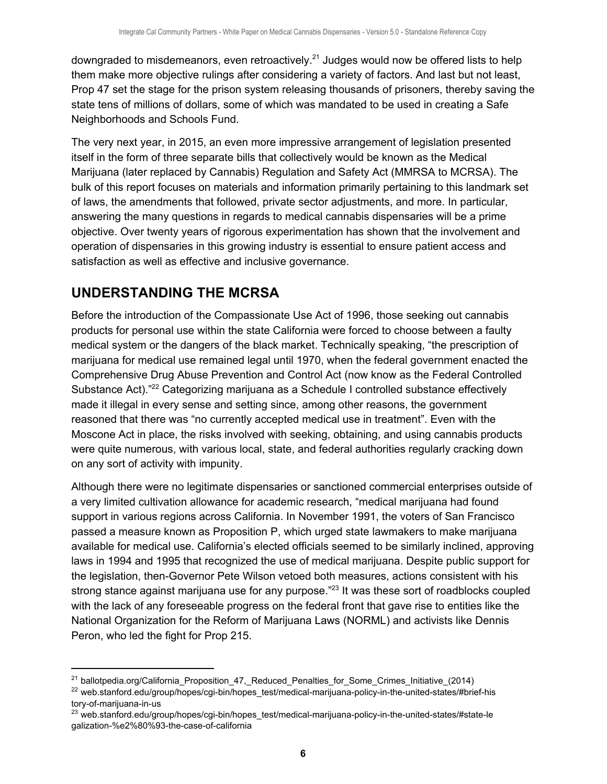downgraded to misdemeanors, even retroactively.<sup>21</sup> Judges would now be offered lists to help them make more objective rulings after considering a variety of factors. And last but not least, Prop 47 set the stage for the prison system releasing thousands of prisoners, thereby saving the state tens of millions of dollars, some of which was mandated to be used in creating a Safe Neighborhoods and Schools Fund.

The very next year, in 2015, an even more impressive arrangement of legislation presented itself in the form of three separate bills that collectively would be known as the Medical Marijuana (later replaced by Cannabis) Regulation and Safety Act (MMRSA to MCRSA). The bulk of this report focuses on materials and information primarily pertaining to this landmark set of laws, the amendments that followed, private sector adjustments, and more. In particular, answering the many questions in regards to medical cannabis dispensaries will be a prime objective. Over twenty years of rigorous experimentation has shown that the involvement and operation of dispensaries in this growing industry is essential to ensure patient access and satisfaction as well as effective and inclusive governance.

# <span id="page-6-0"></span>**UNDERSTANDING THE MCRSA**

Before the introduction of the Compassionate Use Act of 1996, those seeking out cannabis products for personal use within the state California were forced to choose between a faulty medical system or the dangers of the black market. Technically speaking, "the prescription of marijuana for medical use remained legal until 1970, when the federal government enacted the Comprehensive Drug Abuse Prevention and Control Act (now know as the Federal Controlled Substance Act)."<sup>22</sup> Categorizing marijuana as a Schedule I controlled substance effectively made it illegal in every sense and setting since, among other reasons, the government reasoned that there was "no currently accepted medical use in treatment". Even with the Moscone Act in place, the risks involved with seeking, obtaining, and using cannabis products were quite numerous, with various local, state, and federal authorities regularly cracking down on any sort of activity with impunity.

Although there were no legitimate dispensaries or sanctioned commercial enterprises outside of a very limited cultivation allowance for academic research, "medical marijuana had found support in various regions across California. In November 1991, the voters of San Francisco passed a measure known as Proposition P, which urged state lawmakers to make marijuana available for medical use. California's elected officials seemed to be similarly inclined, approving laws in 1994 and 1995 that recognized the use of medical marijuana. Despite public support for the legislation, then-Governor Pete Wilson vetoed both measures, actions consistent with his strong stance against marijuana use for any purpose."<sup>23</sup> It was these sort of roadblocks coupled with the lack of any foreseeable progress on the federal front that gave rise to entities like the National Organization for the Reform of Marijuana Laws (NORML) and activists like Dennis Peron, who led the fight for Prop 215.

<sup>&</sup>lt;sup>21</sup> ballotpedia.org/California\_Proposition\_47,\_Reduced\_Penalties\_for\_Some\_Crimes\_Initiative\_(2014)

<sup>&</sup>lt;sup>22</sup> web.stanford.edu/group/hopes/cgi-bin/hopes\_test/medical-marijuana-policy-in-the-united-states/#brief-his tory-of-marijuana-in-us

<sup>&</sup>lt;sup>23</sup> web.stanford.edu/group/hopes/cgi-bin/hopes\_test/medical-marijuana-policy-in-the-united-states/#state-le galization-%e2%80%93-the-case-of-california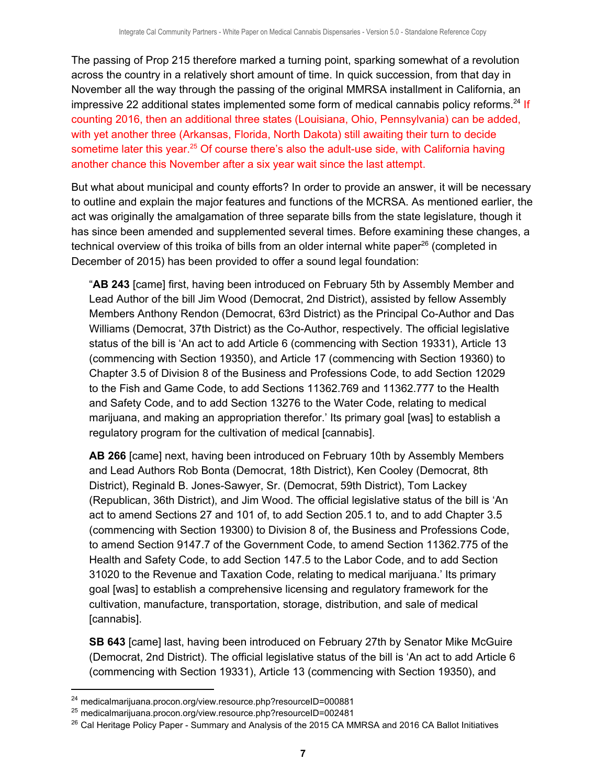The passing of Prop 215 therefore marked a turning point, sparking somewhat of a revolution across the country in a relatively short amount of time. In quick succession, from that day in November all the way through the passing of the original MMRSA installment in California, an impressive 22 additional states implemented some form of medical cannabis policy reforms.<sup>24</sup> If counting 2016, then an additional three states (Louisiana, Ohio, Pennsylvania) can be added, with yet another three (Arkansas, Florida, North Dakota) still awaiting their turn to decide sometime later this year.<sup>25</sup> Of course there's also the adult-use side, with California having another chance this November after a six year wait since the last attempt.

But what about municipal and county efforts? In order to provide an answer, it will be necessary to outline and explain the major features and functions of the MCRSA. As mentioned earlier, the act was originally the amalgamation of three separate bills from the state legislature, though it has since been amended and supplemented several times. Before examining these changes, a technical overview of this troika of bills from an older internal white paper<sup>26</sup> (completed in December of 2015) has been provided to offer a sound legal foundation:

"**AB 243** [came] first, having been introduced on February 5th by Assembly Member and Lead Author of the bill Jim Wood (Democrat, 2nd District), assisted by fellow Assembly Members Anthony Rendon (Democrat, 63rd District) as the Principal Co-Author and Das Williams (Democrat, 37th District) as the Co-Author, respectively. The official legislative status of the bill is 'An act to add Article 6 (commencing with Section 19331), Article 13 (commencing with Section 19350), and Article 17 (commencing with Section 19360) to Chapter 3.5 of Division 8 of the Business and Professions Code, to add Section 12029 to the Fish and Game Code, to add Sections 11362.769 and 11362.777 to the Health and Safety Code, and to add Section 13276 to the Water Code, relating to medical marijuana, and making an appropriation therefor.' Its primary goal [was] to establish a regulatory program for the cultivation of medical [cannabis].

**AB 266** [came] next, having been introduced on February 10th by Assembly Members and Lead Authors Rob Bonta (Democrat, 18th District), Ken Cooley (Democrat, 8th District), Reginald B. Jones-Sawyer, Sr. (Democrat, 59th District), Tom Lackey (Republican, 36th District), and Jim Wood. The official legislative status of the bill is 'An act to amend Sections 27 and 101 of, to add Section 205.1 to, and to add Chapter 3.5 (commencing with Section 19300) to Division 8 of, the Business and Professions Code, to amend Section 9147.7 of the Government Code, to amend Section 11362.775 of the Health and Safety Code, to add Section 147.5 to the Labor Code, and to add Section 31020 to the Revenue and Taxation Code, relating to medical marijuana.' Its primary goal [was] to establish a comprehensive licensing and regulatory framework for the cultivation, manufacture, transportation, storage, distribution, and sale of medical [cannabis].

**SB 643** [came] last, having been introduced on February 27th by Senator Mike McGuire (Democrat, 2nd District). The official legislative status of the bill is 'An act to add Article 6 (commencing with Section 19331), Article 13 (commencing with Section 19350), and

<sup>24</sup> medicalmarijuana.procon.org/view.resource.php?resourceID=000881

<sup>25</sup> medicalmarijuana.procon.org/view.resource.php?resourceID=002481

<sup>&</sup>lt;sup>26</sup> Cal Heritage Policy Paper - Summary and Analysis of the 2015 CA MMRSA and 2016 CA Ballot Initiatives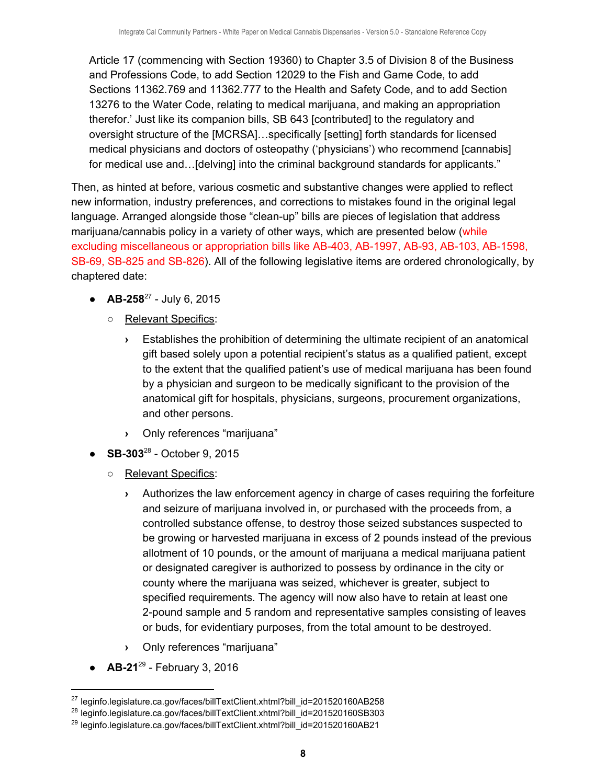Article 17 (commencing with Section 19360) to Chapter 3.5 of Division 8 of the Business and Professions Code, to add Section 12029 to the Fish and Game Code, to add Sections 11362.769 and 11362.777 to the Health and Safety Code, and to add Section 13276 to the Water Code, relating to medical marijuana, and making an appropriation therefor.' Just like its companion bills, SB 643 [contributed] to the regulatory and oversight structure of the [MCRSA]…specifically [setting] forth standards for licensed medical physicians and doctors of osteopathy ('physicians') who recommend [cannabis] for medical use and…[delving] into the criminal background standards for applicants."

Then, as hinted at before, various cosmetic and substantive changes were applied to reflect new information, industry preferences, and corrections to mistakes found in the original legal language. Arranged alongside those "clean-up" bills are pieces of legislation that address marijuana/cannabis policy in a variety of other ways, which are presented below (while excluding miscellaneous or appropriation bills like AB-403, AB-1997, AB-93, AB-103, AB-1598, SB-69, SB-825 and SB-826). All of the following legislative items are ordered chronologically, by chaptered date:

- $\bullet$  **AB-258**<sup>27</sup> July 6, 2015
	- Relevant Specifics:
		- **›** Establishes the prohibition of determining the ultimate recipient of an anatomical gift based solely upon a potential recipient's status as a qualified patient, except to the extent that the qualified patient's use of medical marijuana has been found by a physician and surgeon to be medically significant to the provision of the anatomical gift for hospitals, physicians, surgeons, procurement organizations, and other persons.
		- **›** Only references "marijuana"
- $\bullet$  **SB-303**<sup>28</sup> October 9, 2015
	- o Relevant Specifics:
		- **›** Authorizes the law enforcement agency in charge of cases requiring the forfeiture and seizure of marijuana involved in, or purchased with the proceeds from, a controlled substance offense, to destroy those seized substances suspected to be growing or harvested marijuana in excess of 2 pounds instead of the previous allotment of 10 pounds, or the amount of marijuana a medical marijuana patient or designated caregiver is authorized to possess by ordinance in the city or county where the marijuana was seized, whichever is greater, subject to specified requirements. The agency will now also have to retain at least one 2-pound sample and 5 random and representative samples consisting of leaves or buds, for evidentiary purposes, from the total amount to be destroyed.
		- **›** Only references "marijuana"
- $\bullet$  **AB-21**<sup>29</sup> February 3, 2016

<sup>&</sup>lt;sup>27</sup> leginfo.legislature.ca.gov/faces/billTextClient.xhtml?bill\_id=201520160AB258

<sup>&</sup>lt;sup>28</sup> leginfo.legislature.ca.gov/faces/billTextClient.xhtml?bill\_id=201520160SB303

<sup>&</sup>lt;sup>29</sup> leginfo.legislature.ca.gov/faces/billTextClient.xhtml?bill\_id=201520160AB21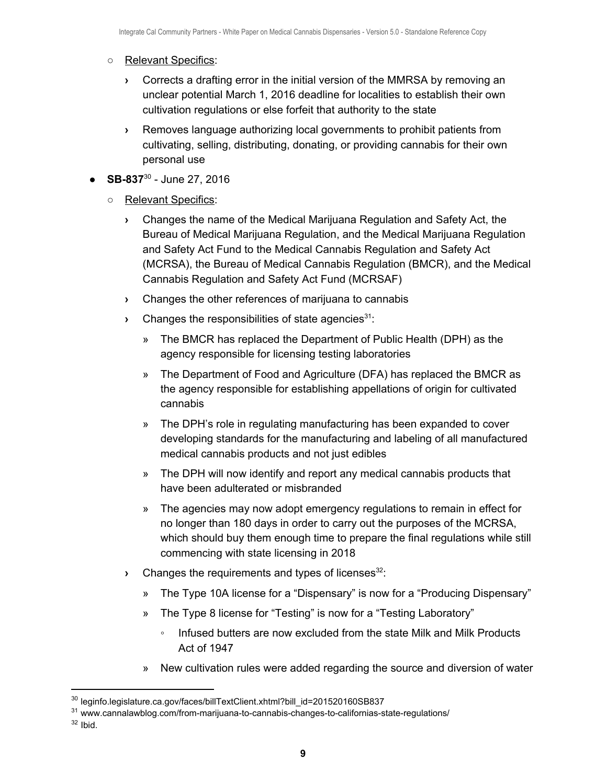#### ○ Relevant Specifics:

- **›** Corrects a drafting error in the initial version of the MMRSA by removing an unclear potential March 1, 2016 deadline for localities to establish their own cultivation regulations or else forfeit that authority to the state
- **›** Removes language authorizing local governments to prohibit patients from cultivating, selling, distributing, donating, or providing cannabis for their own personal use
- $\bullet$  **SB-837**<sup>30</sup> June 27, 2016
	- o Relevant Specifics:
		- **›** Changes the name of the Medical Marijuana Regulation and Safety Act, the Bureau of Medical Marijuana Regulation, and the Medical Marijuana Regulation and Safety Act Fund to the Medical Cannabis Regulation and Safety Act (MCRSA), the Bureau of Medical Cannabis Regulation (BMCR), and the Medical Cannabis Regulation and Safety Act Fund (MCRSAF)
		- **›** Changes the other references of marijuana to cannabis
		- **Example 1** Changes the responsibilities of state agencies<sup>31</sup>:
			- » The BMCR has replaced the Department of Public Health (DPH) as the agency responsible for licensing testing laboratories
			- » The Department of Food and Agriculture (DFA) has replaced the BMCR as the agency responsible for establishing appellations of origin for cultivated cannabis
			- » The DPH's role in regulating manufacturing has been expanded to cover developing standards for the manufacturing and labeling of all manufactured medical cannabis products and not just edibles
			- » The DPH will now identify and report any medical cannabis products that have been adulterated or misbranded
			- » The agencies may now adopt emergency regulations to remain in effect for no longer than 180 days in order to carry out the purposes of the MCRSA, which should buy them enough time to prepare the final regulations while still commencing with state licensing in 2018
		- **Changes the requirements and types of licenses<sup>32</sup>:** 
			- » The Type 10A license for a "Dispensary" is now for a "Producing Dispensary"
			- » The Type 8 license for "Testing" is now for a "Testing Laboratory"
				- Infused butters are now excluded from the state Milk and Milk Products Act of 1947
			- » New cultivation rules were added regarding the source and diversion of water

 $32$  Ibid.

<sup>&</sup>lt;sup>30</sup> leginfo.legislature.ca.gov/faces/billTextClient.xhtml?bill\_id=201520160SB837

<sup>&</sup>lt;sup>31</sup> www.cannalawblog.com/from-marijuana-to-cannabis-changes-to-californias-state-regulations/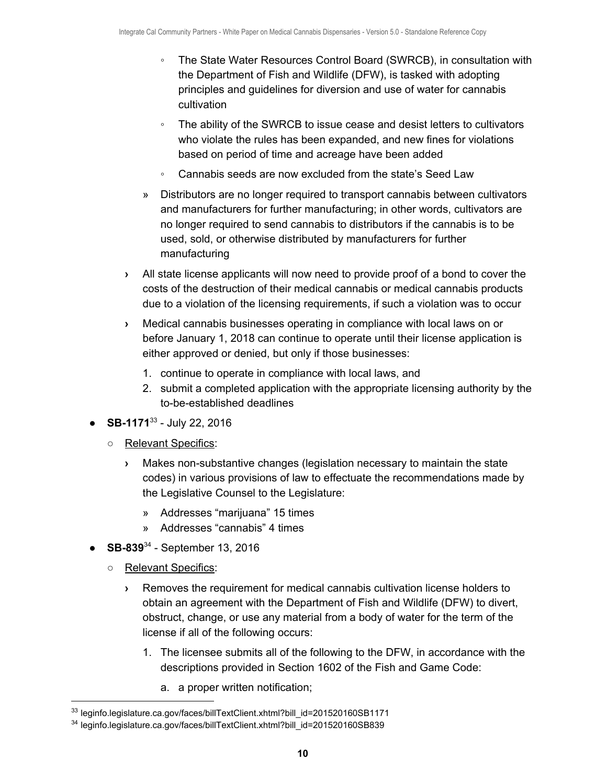- The State Water Resources Control Board (SWRCB), in consultation with the Department of Fish and Wildlife (DFW), is tasked with adopting principles and guidelines for diversion and use of water for cannabis cultivation
- The ability of the SWRCB to issue cease and desist letters to cultivators who violate the rules has been expanded, and new fines for violations based on period of time and acreage have been added
- Cannabis seeds are now excluded from the state's Seed Law
- » Distributors are no longer required to transport cannabis between cultivators and manufacturers for further manufacturing; in other words, cultivators are no longer required to send cannabis to distributors if the cannabis is to be used, sold, or otherwise distributed by manufacturers for further manufacturing
- **›** All state license applicants will now need to provide proof of a bond to cover the costs of the destruction of their medical cannabis or medical cannabis products due to a violation of the licensing requirements, if such a violation was to occur
- **›** Medical cannabis businesses operating in compliance with local laws on or before January 1, 2018 can continue to operate until their license application is either approved or denied, but only if those businesses:
	- 1. continue to operate in compliance with local laws, and
	- 2. submit a completed application with the appropriate licensing authority by the to-be-established deadlines
- $\bullet$  **SB-1171**<sup>33</sup> July 22, 2016
	- Relevant Specifics:
		- **›** Makes non-substantive changes (legislation necessary to maintain the state codes) in various provisions of law to effectuate the recommendations made by the Legislative Counsel to the Legislature:
			- » Addresses "marijuana" 15 times
			- » Addresses "cannabis" 4 times
- $\bullet$  **SB-839**<sup>34</sup> September 13, 2016
	- Relevant Specifics:
		- **›** Removes the requirement for medical cannabis cultivation license holders to obtain an agreement with the Department of Fish and Wildlife (DFW) to divert, obstruct, change, or use any material from a body of water for the term of the license if all of the following occurs:
			- 1. The licensee submits all of the following to the DFW, in accordance with the descriptions provided in Section 1602 of the Fish and Game Code:
				- a. a proper written notification;

<sup>33</sup> leginfo.legislature.ca.gov/faces/billTextClient.xhtml?bill\_id=201520160SB1171

<sup>&</sup>lt;sup>34</sup> leginfo.legislature.ca.gov/faces/billTextClient.xhtml?bill\_id=201520160SB839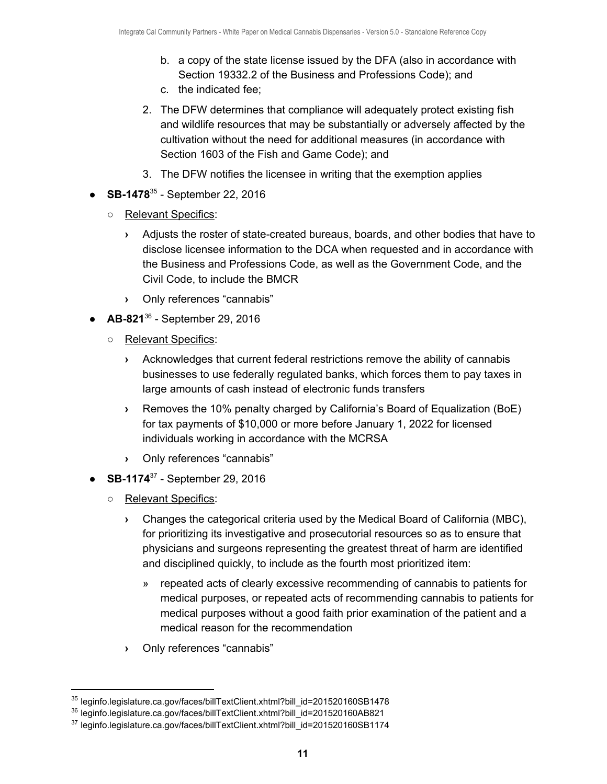- b. a copy of the state license issued by the DFA (also in accordance with Section 19332.2 of the Business and Professions Code); and
- c. the indicated fee;
- 2. The DFW determines that compliance will adequately protect existing fish and wildlife resources that may be substantially or adversely affected by the cultivation without the need for additional measures (in accordance with Section 1603 of the Fish and Game Code); and
- 3. The DFW notifies the licensee in writing that the exemption applies
- $\bullet$  **SB-1478**<sup>35</sup> September 22, 2016
	- Relevant Specifics:
		- **›** Adjusts the roster of state-created bureaus, boards, and other bodies that have to disclose licensee information to the DCA when requested and in accordance with the Business and Professions Code, as well as the Government Code, and the Civil Code, to include the BMCR
		- **›** Only references "cannabis"
- $\bullet$  **AB-821<sup>36</sup>** September 29, 2016
	- Relevant Specifics:
		- **›** Acknowledges that current federal restrictions remove the ability of cannabis businesses to use federally regulated banks, which forces them to pay taxes in large amounts of cash instead of electronic funds transfers
		- **›** Removes the 10% penalty charged by California's Board of Equalization (BoE) for tax payments of \$10,000 or more before January 1, 2022 for licensed individuals working in accordance with the MCRSA
		- **›** Only references "cannabis"
- $\bullet$  **SB-1174**<sup>37</sup> September 29, 2016
	- o Relevant Specifics:
		- **›** Changes the categorical criteria used by the Medical Board of California (MBC), for prioritizing its investigative and prosecutorial resources so as to ensure that physicians and surgeons representing the greatest threat of harm are identified and disciplined quickly, to include as the fourth most prioritized item:
			- » repeated acts of clearly excessive recommending of cannabis to patients for medical purposes, or repeated acts of recommending cannabis to patients for medical purposes without a good faith prior examination of the patient and a medical reason for the recommendation
		- **›** Only references "cannabis"

<sup>35</sup> leginfo.legislature.ca.gov/faces/billTextClient.xhtml?bill\_id=201520160SB1478

<sup>&</sup>lt;sup>36</sup> leginfo.legislature.ca.gov/faces/billTextClient.xhtml?bill\_id=201520160AB821

<sup>&</sup>lt;sup>37</sup> leginfo.legislature.ca.gov/faces/billTextClient.xhtml?bill\_id=201520160SB1174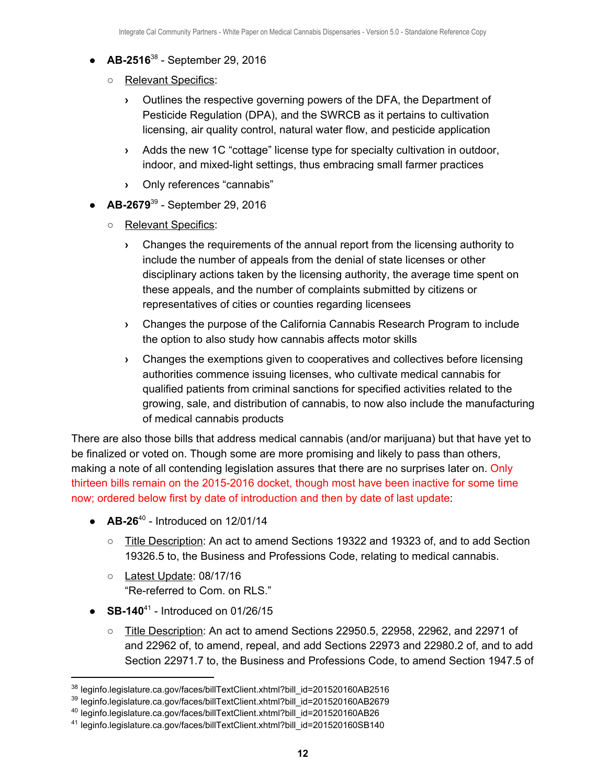- $\bullet$  **AB-2516**<sup>38</sup> September 29, 2016
	- Relevant Specifics:
		- **›** Outlines the respective governing powers of the DFA, the Department of Pesticide Regulation (DPA), and the SWRCB as it pertains to cultivation licensing, air quality control, natural water flow, and pesticide application
		- **›** Adds the new 1C "cottage" license type for specialty cultivation in outdoor, indoor, and mixed-light settings, thus embracing small farmer practices
		- **›** Only references "cannabis"
- **AB-2679<sup>39</sup>** September 29, 2016
	- Relevant Specifics:
		- **›** Changes the requirements of the annual report from the licensing authority to include the number of appeals from the denial of state licenses or other disciplinary actions taken by the licensing authority, the average time spent on these appeals, and the number of complaints submitted by citizens or representatives of cities or counties regarding licensees
		- **›** Changes the purpose of the California Cannabis Research Program to include the option to also study how cannabis affects motor skills
		- **›** Changes the exemptions given to cooperatives and collectives before licensing authorities commence issuing licenses, who cultivate medical cannabis for qualified patients from criminal sanctions for specified activities related to the growing, sale, and distribution of cannabis, to now also include the manufacturing of medical cannabis products

There are also those bills that address medical cannabis (and/or marijuana) but that have yet to be finalized or voted on. Though some are more promising and likely to pass than others, making a note of all contending legislation assures that there are no surprises later on. Only thirteen bills remain on the 2015-2016 docket, though most have been inactive for some time now; ordered below first by date of introduction and then by date of last update:

- $\bullet$  **AB-26**<sup>40</sup> Introduced on 12/01/14
	- Title Description: An act to amend Sections 19322 and 19323 of, and to add Section 19326.5 to, the Business and Professions Code, relating to medical cannabis.
	- Latest Update: 08/17/16 "Re-referred to Com. on RLS."
- $\bullet$  **SB-140**<sup>41</sup> Introduced on 01/26/15
	- Title Description: An act to amend Sections 22950.5, 22958, 22962, and 22971 of and 22962 of, to amend, repeal, and add Sections 22973 and 22980.2 of, and to add Section 22971.7 to, the Business and Professions Code, to amend Section 1947.5 of

<sup>&</sup>lt;sup>38</sup> leginfo.legislature.ca.gov/faces/billTextClient.xhtml?bill\_id=201520160AB2516

<sup>39</sup> leginfo.legislature.ca.gov/faces/billTextClient.xhtml?bill\_id=201520160AB2679

<sup>40</sup> leginfo.legislature.ca.gov/faces/billTextClient.xhtml?bill\_id=201520160AB26

<sup>41</sup> leginfo.legislature.ca.gov/faces/billTextClient.xhtml?bill\_id=201520160SB140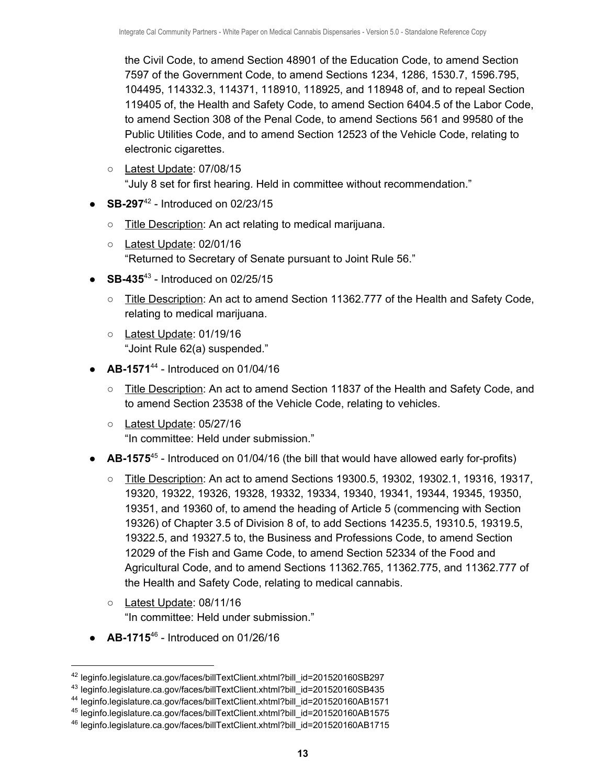the Civil Code, to amend Section 48901 of the Education Code, to amend Section 7597 of the Government Code, to amend Sections 1234, 1286, 1530.7, 1596.795, 104495, 114332.3, 114371, 118910, 118925, and 118948 of, and to repeal Section 119405 of, the Health and Safety Code, to amend Section 6404.5 of the Labor Code, to amend Section 308 of the Penal Code, to amend Sections 561 and 99580 of the Public Utilities Code, and to amend Section 12523 of the Vehicle Code, relating to electronic cigarettes.

- Latest Update: 07/08/15 "July 8 set for first hearing. Held in committee without recommendation."
- $\bullet$  **SB-297**<sup>42</sup> Introduced on 02/23/15
	- Title Description: An act relating to medical marijuana.
	- Latest Update: 02/01/16 "Returned to Secretary of Senate pursuant to Joint Rule 56."
- $\bullet$  **SB-435**<sup>43</sup> Introduced on 02/25/15
	- Title Description: An act to amend Section 11362.777 of the Health and Safety Code, relating to medical marijuana.
	- Latest Update: 01/19/16 "Joint Rule 62(a) suspended."
- $\bullet$  **AB-1571**<sup>44</sup> Introduced on 01/04/16
	- Title Description: An act to amend Section 11837 of the Health and Safety Code, and to amend Section 23538 of the Vehicle Code, relating to vehicles.
	- Latest Update: 05/27/16 "In committee: Held under submission."
- **AB-1575**<sup>45</sup> Introduced on 01/04/16 (the bill that would have allowed early for-profits)
	- Title Description: An act to amend Sections 19300.5, 19302, 19302.1, 19316, 19317, 19320, 19322, 19326, 19328, 19332, 19334, 19340, 19341, 19344, 19345, 19350, 19351, and 19360 of, to amend the heading of Article 5 (commencing with Section 19326) of Chapter 3.5 of Division 8 of, to add Sections 14235.5, 19310.5, 19319.5, 19322.5, and 19327.5 to, the Business and Professions Code, to amend Section 12029 of the Fish and Game Code, to amend Section 52334 of the Food and Agricultural Code, and to amend Sections 11362.765, 11362.775, and 11362.777 of the Health and Safety Code, relating to medical cannabis.
	- Latest Update: 08/11/16 "In committee: Held under submission."
- $\bullet$  **AB-1715**<sup>46</sup> Introduced on 01/26/16

<sup>42</sup> leginfo.legislature.ca.gov/faces/billTextClient.xhtml?bill\_id=201520160SB297

<sup>43</sup> leginfo.legislature.ca.gov/faces/billTextClient.xhtml?bill\_id=201520160SB435

<sup>44</sup> leginfo.legislature.ca.gov/faces/billTextClient.xhtml?bill\_id=201520160AB1571

<sup>45</sup> leginfo.legislature.ca.gov/faces/billTextClient.xhtml?bill\_id=201520160AB1575

<sup>46</sup> leginfo.legislature.ca.gov/faces/billTextClient.xhtml?bill\_id=201520160AB1715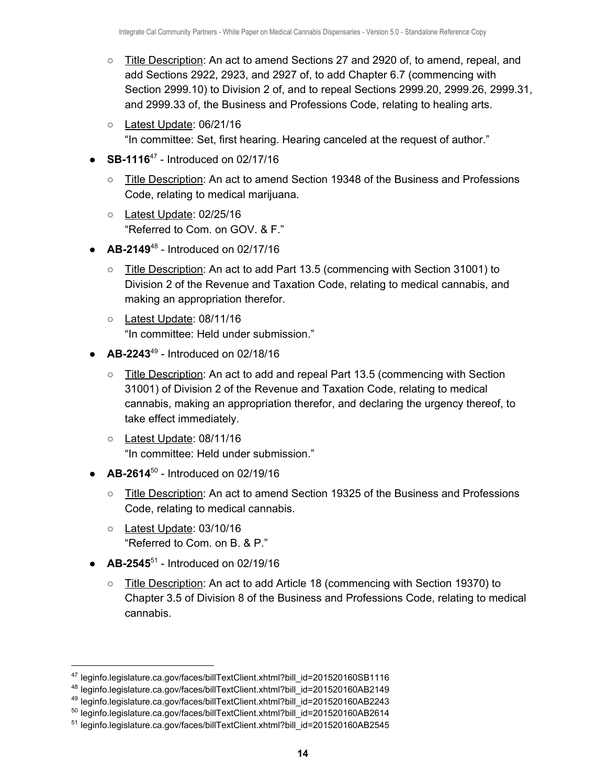- Title Description: An act to amend Sections 27 and 2920 of, to amend, repeal, and add Sections 2922, 2923, and 2927 of, to add Chapter 6.7 (commencing with Section 2999.10) to Division 2 of, and to repeal Sections 2999.20, 2999.26, 2999.31, and 2999.33 of, the Business and Professions Code, relating to healing arts.
- Latest Update: 06/21/16 "In committee: Set, first hearing. Hearing canceled at the request of author."
- $\bullet$  **SB-1116**<sup>47</sup> Introduced on 02/17/16
	- Title Description: An act to amend Section 19348 of the Business and Professions Code, relating to medical marijuana.
	- Latest Update: 02/25/16 "Referred to Com. on GOV. & F."
- $\bullet$  **AB-2149**<sup>48</sup> Introduced on 02/17/16
	- Title Description: An act to add Part 13.5 (commencing with Section 31001) to Division 2 of the Revenue and Taxation Code, relating to medical cannabis, and making an appropriation therefor.
	- Latest Update: 08/11/16 "In committee: Held under submission."
- $\bullet$  **AB-2243**<sup>49</sup> Introduced on 02/18/16
	- $\circ$  Title Description: An act to add and repeal Part 13.5 (commencing with Section 31001) of Division 2 of the Revenue and Taxation Code, relating to medical cannabis, making an appropriation therefor, and declaring the urgency thereof, to take effect immediately.
	- Latest Update: 08/11/16 "In committee: Held under submission."
- $\bullet$  **AB-2614**<sup>50</sup> Introduced on 02/19/16
	- Title Description: An act to amend Section 19325 of the Business and Professions Code, relating to medical cannabis.
	- Latest Update: 03/10/16 "Referred to Com. on B. & P."
- $\bullet$  **AB-2545**<sup>51</sup> Introduced on 02/19/16
	- Title Description: An act to add Article 18 (commencing with Section 19370) to Chapter 3.5 of Division 8 of the Business and Professions Code, relating to medical cannabis.

<sup>49</sup> leginfo.legislature.ca.gov/faces/billTextClient.xhtml?bill\_id=201520160AB2243

<sup>47</sup> leginfo.legislature.ca.gov/faces/billTextClient.xhtml?bill\_id=201520160SB1116

<sup>48</sup> leginfo.legislature.ca.gov/faces/billTextClient.xhtml?bill\_id=201520160AB2149

<sup>50</sup> leginfo.legislature.ca.gov/faces/billTextClient.xhtml?bill\_id=201520160AB2614

<sup>51</sup> leginfo.legislature.ca.gov/faces/billTextClient.xhtml?bill\_id=201520160AB2545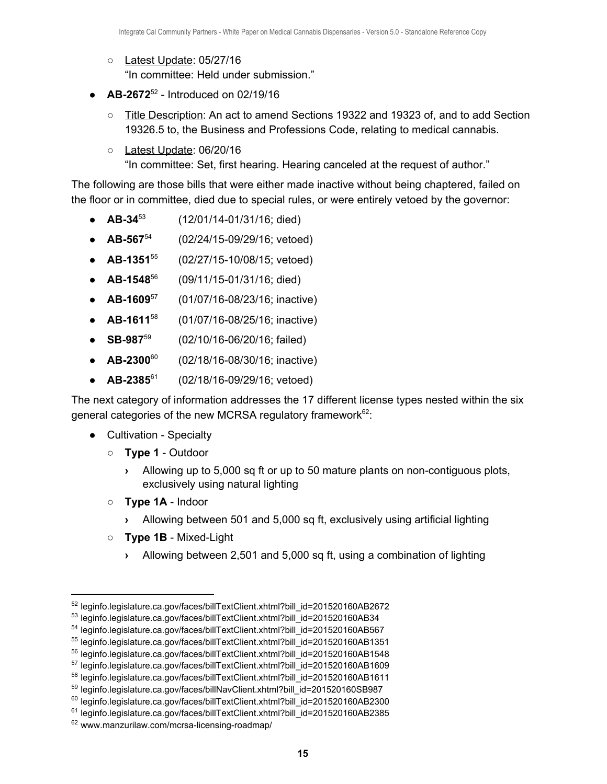- Latest Update: 05/27/16 "In committee: Held under submission."
- $\bullet$  **AB-2672**<sup>52</sup> Introduced on 02/19/16
	- Title Description: An act to amend Sections 19322 and 19323 of, and to add Section 19326.5 to, the Business and Professions Code, relating to medical cannabis.
	- Latest Update: 06/20/16 "In committee: Set, first hearing. Hearing canceled at the request of author."

The following are those bills that were either made inactive without being chaptered, failed on the floor or in committee, died due to special rules, or were entirely vetoed by the governor:

- **AB-34** (12/01/14-01/31/16; died) •  $AB-34^{53}$
- **AB-567** (02/24/15-09/29/16; vetoed) •  $AB-567^{54}$
- **AB-1351** (02/27/15-10/08/15; vetoed) •  $AB-1351^{55}$
- **AB-1548** (09/11/15-01/31/16; died) •  $AB-1548^{56}$
- **AB-1609** (01/07/16-08/23/16; inactive) •  $AB-1609^{57}$
- **AB-1611** (01/07/16-08/25/16; inactive) •  $AB-1611^{58}$
- **SB-987** (02/10/16-06/20/16; failed) •  $SB-987^{59}$
- **AB-2300** (02/18/16-08/30/16; inactive) •  $AB-2300^{60}$
- **AB-2385** (02/18/16-09/29/16; vetoed) •  $AB-2385^{\circ 1}$

The next category of information addresses the 17 different license types nested within the six general categories of the new MCRSA regulatory framework $62$ :

- Cultivation Specialty
	- **Type 1** Outdoor
		- **›** Allowing up to 5,000 sq ft or up to 50 mature plants on non-contiguous plots, exclusively using natural lighting
	- **Type 1A** Indoor
		- **›** Allowing between 501 and 5,000 sq ft, exclusively using artificial lighting
	- **Type 1B** Mixed-Light
		- **›** Allowing between 2,501 and 5,000 sq ft, using a combination of lighting

<sup>52</sup> leginfo.legislature.ca.gov/faces/billTextClient.xhtml?bill\_id=201520160AB2672

<sup>53</sup> leginfo.legislature.ca.gov/faces/billTextClient.xhtml?bill\_id=201520160AB34

<sup>54</sup> leginfo.legislature.ca.gov/faces/billTextClient.xhtml?bill\_id=201520160AB567

<sup>55</sup> leginfo.legislature.ca.gov/faces/billTextClient.xhtml?bill\_id=201520160AB1351

<sup>56</sup> leginfo.legislature.ca.gov/faces/billTextClient.xhtml?bill\_id=201520160AB1548

<sup>57</sup> leginfo.legislature.ca.gov/faces/billTextClient.xhtml?bill\_id=201520160AB1609

<sup>58</sup> leginfo.legislature.ca.gov/faces/billTextClient.xhtml?bill\_id=201520160AB1611

<sup>59</sup> leginfo.legislature.ca.gov/faces/billNavClient.xhtml?bill\_id=201520160SB987

<sup>60</sup> leginfo.legislature.ca.gov/faces/billTextClient.xhtml?bill\_id=201520160AB2300

<sup>61</sup> leginfo.legislature.ca.gov/faces/billTextClient.xhtml?bill\_id=201520160AB2385

<sup>62</sup> www.manzurilaw.com/mcrsa-licensing-roadmap/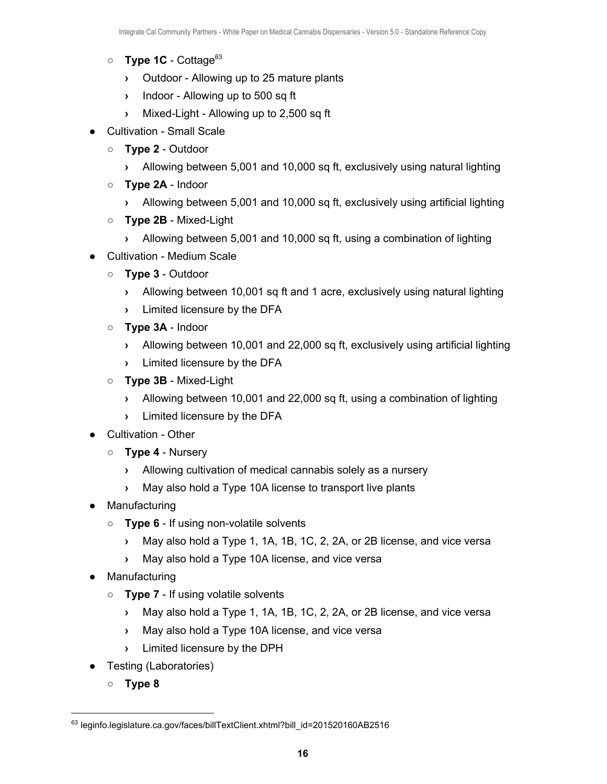- **Type 1C** Cottage<sup>63</sup>
	- **›** Outdoor Allowing up to 25 mature plants
	- **›** Indoor Allowing up to 500 sq ft
	- **›** Mixed-Light Allowing up to 2,500 sq ft
- Cultivation Small Scale
	- **Type 2** Outdoor
		- **›** Allowing between 5,001 and 10,000 sq ft, exclusively using natural lighting
	- **Type 2A** Indoor
		- **›** Allowing between 5,001 and 10,000 sq ft, exclusively using artificial lighting
	- **Type 2B** Mixed-Light
		- **›** Allowing between 5,001 and 10,000 sq ft, using a combination of lighting
- Cultivation Medium Scale
	- **Type 3** Outdoor
		- **›** Allowing between 10,001 sq ft and 1 acre, exclusively using natural lighting
		- **›** Limited licensure by the DFA
	- **Type 3A** Indoor
		- **›** Allowing between 10,001 and 22,000 sq ft, exclusively using artificial lighting
		- **›** Limited licensure by the DFA
	- **Type 3B** Mixed-Light
		- **›** Allowing between 10,001 and 22,000 sq ft, using a combination of lighting
		- **›** Limited licensure by the DFA
- Cultivation Other
	- **Type 4** Nursery
		- **›** Allowing cultivation of medical cannabis solely as a nursery
		- **›** May also hold a Type 10A license to transport live plants
- Manufacturing
	- **Type 6** If using non-volatile solvents
		- **›** May also hold a Type 1, 1A, 1B, 1C, 2, 2A, or 2B license, and vice versa
		- **›** May also hold a Type 10A license, and vice versa
- Manufacturing
	- **Type 7** If using volatile solvents
		- **›** May also hold a Type 1, 1A, 1B, 1C, 2, 2A, or 2B license, and vice versa
		- **›** May also hold a Type 10A license, and vice versa
		- **›** Limited licensure by the DPH
- Testing (Laboratories)
	- **Type 8**

<sup>63</sup> leginfo.legislature.ca.gov/faces/billTextClient.xhtml?bill\_id=201520160AB2516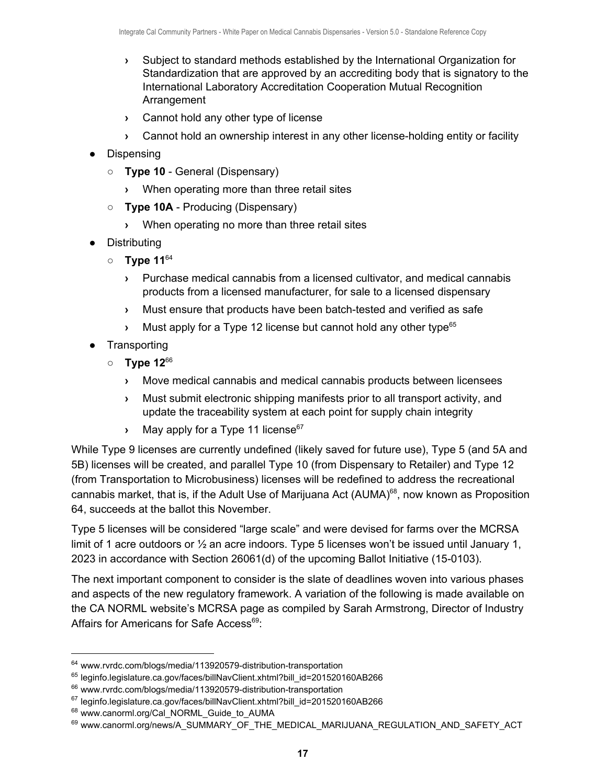- **›** Subject to standard methods established by the International Organization for Standardization that are approved by an accrediting body that is signatory to the International Laboratory Accreditation Cooperation Mutual Recognition Arrangement
- **›** Cannot hold any other type of license
- **›** Cannot hold an ownership interest in any other license-holding entity or facility
- Dispensing
	- **Type 10** General (Dispensary)
		- **›** When operating more than three retail sites
	- **Type 10A** Producing (Dispensary)
		- **›** When operating no more than three retail sites
- Distributing
	- **Type 11**<sup>64</sup>
		- **›** Purchase medical cannabis from a licensed cultivator, and medical cannabis products from a licensed manufacturer, for sale to a licensed dispensary
		- **›** Must ensure that products have been batch-tested and verified as safe
		- **›** Must apply for a Type 12 license but cannot hold any other type 65
- **Transporting** 
	- **Type 12**<sup>66</sup>
		- **›** Move medical cannabis and medical cannabis products between licensees
		- **›** Must submit electronic shipping manifests prior to all transport activity, and update the traceability system at each point for supply chain integrity
		- **›** May apply for a Type 11 license 67

While Type 9 licenses are currently undefined (likely saved for future use), Type 5 (and 5A and 5B) licenses will be created, and parallel Type 10 (from Dispensary to Retailer) and Type 12 (from Transportation to Microbusiness) licenses will be redefined to address the recreational cannabis market, that is, if the Adult Use of Marijuana Act (AUMA) $^{68}$ , now known as Proposition 64, succeeds at the ballot this November.

Type 5 licenses will be considered "large scale" and were devised for farms over the MCRSA limit of 1 acre outdoors or  $\frac{1}{2}$  an acre indoors. Type 5 licenses won't be issued until January 1, 2023 in accordance with Section 26061(d) of the upcoming Ballot Initiative (15-0103).

The next important component to consider is the slate of deadlines woven into various phases and aspects of the new regulatory framework. A variation of the following is made available on the CA NORML website's MCRSA page as compiled by Sarah Armstrong, Director of Industry Affairs for Americans for Safe Access<sup>69</sup>:

<sup>64</sup> www.rvrdc.com/blogs/media/113920579-distribution-transportation

<sup>65</sup> leginfo.legislature.ca.gov/faces/billNavClient.xhtml?bill\_id=201520160AB266

<sup>66</sup> www.rvrdc.com/blogs/media/113920579-distribution-transportation

<sup>67</sup> leginfo.legislature.ca.gov/faces/billNavClient.xhtml?bill\_id=201520160AB266

<sup>68</sup> www.canorml.org/Cal\_NORML\_Guide\_to\_AUMA

<sup>69</sup> www.canorml.org/news/A\_SUMMARY\_OF\_THE\_MEDICAL\_MARIJUANA\_REGULATION\_AND\_SAFETY\_ACT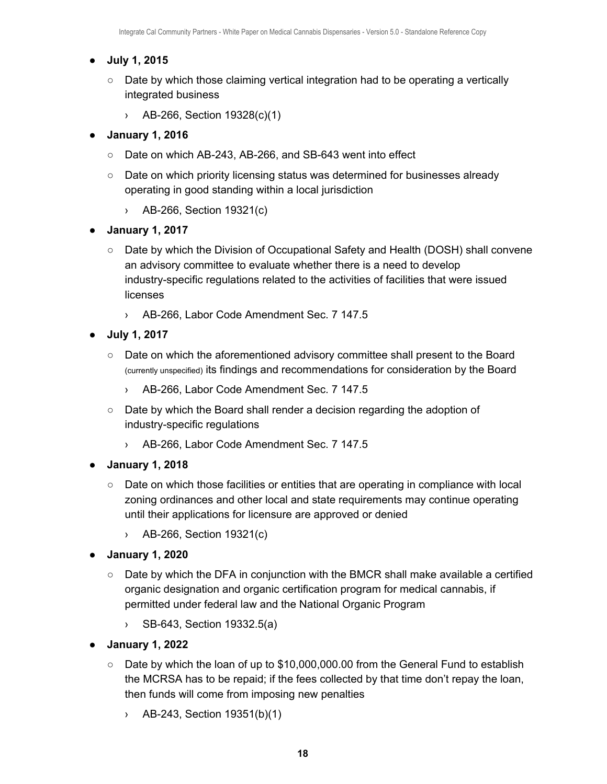#### **● July 1, 2015**

- Date by which those claiming vertical integration had to be operating a vertically integrated business
	- › AB-266, Section 19328(c)(1)

#### **● January 1, 2016**

- Date on which AB-243, AB-266, and SB-643 went into effect
- Date on which priority licensing status was determined for businesses already operating in good standing within a local jurisdiction
	- › AB-266, Section 19321(c)

#### **● January 1, 2017**

- Date by which the Division of Occupational Safety and Health (DOSH) shall convene an advisory committee to evaluate whether there is a need to develop industry-specific regulations related to the activities of facilities that were issued licenses
	- › AB-266, Labor Code Amendment Sec. 7 147.5
- **● July 1, 2017**
	- Date on which the aforementioned advisory committee shall present to the Board (currently unspecified) its findings and recommendations for consideration by the Board
		- › AB-266, Labor Code Amendment Sec. 7 147.5
	- Date by which the Board shall render a decision regarding the adoption of industry-specific regulations
		- › AB-266, Labor Code Amendment Sec. 7 147.5
- **● January 1, 2018**
	- Date on which those facilities or entities that are operating in compliance with local zoning ordinances and other local and state requirements may continue operating until their applications for licensure are approved or denied
		- › AB-266, Section 19321(c)
- **● January 1, 2020**
	- $\circ$  Date by which the DFA in conjunction with the BMCR shall make available a certified organic designation and organic certification program for medical cannabis, if permitted under federal law and the National Organic Program
		- › SB-643, Section 19332.5(a)
- **● January 1, 2022**
	- Date by which the loan of up to \$10,000,000.00 from the General Fund to establish the MCRSA has to be repaid; if the fees collected by that time don't repay the loan, then funds will come from imposing new penalties
		- › AB-243, Section 19351(b)(1)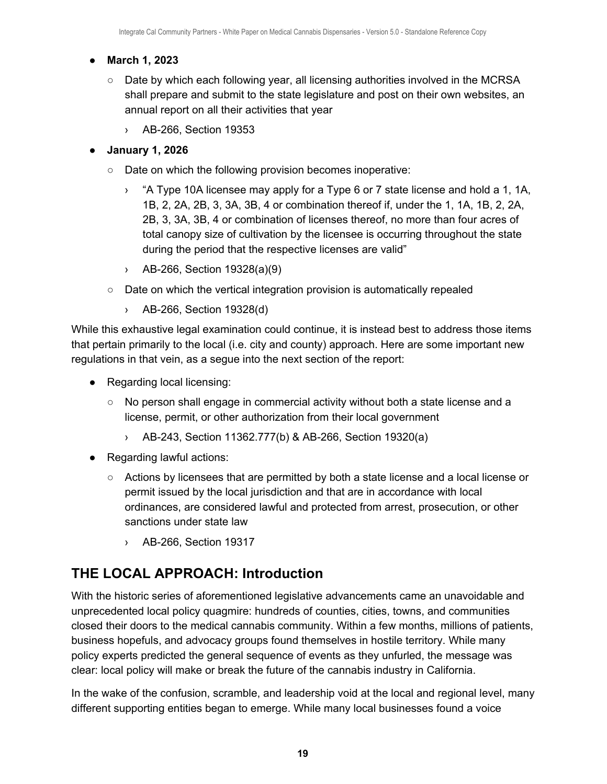#### **● March 1, 2023**

- $\circ$  Date by which each following year, all licensing authorities involved in the MCRSA shall prepare and submit to the state legislature and post on their own websites, an annual report on all their activities that year
	- › AB-266, Section 19353

#### **● January 1, 2026**

- Date on which the following provision becomes inoperative:
	- › "A Type 10A licensee may apply for a Type 6 or 7 state license and hold a 1, 1A, 1B, 2, 2A, 2B, 3, 3A, 3B, 4 or combination thereof if, under the 1, 1A, 1B, 2, 2A, 2B, 3, 3A, 3B, 4 or combination of licenses thereof, no more than four acres of total canopy size of cultivation by the licensee is occurring throughout the state during the period that the respective licenses are valid"
	- › AB-266, Section 19328(a)(9)
- Date on which the vertical integration provision is automatically repealed
	- › AB-266, Section 19328(d)

While this exhaustive legal examination could continue, it is instead best to address those items that pertain primarily to the local (i.e. city and county) approach. Here are some important new regulations in that vein, as a segue into the next section of the report:

- Regarding local licensing:
	- No person shall engage in commercial activity without both a state license and a license, permit, or other authorization from their local government
		- › AB-243, Section 11362.777(b) & AB-266, Section 19320(a)
- Regarding lawful actions:
	- Actions by licensees that are permitted by both a state license and a local license or permit issued by the local jurisdiction and that are in accordance with local ordinances, are considered lawful and protected from arrest, prosecution, or other sanctions under state law
		- › AB-266, Section 19317

# <span id="page-19-0"></span>**THE LOCAL APPROACH: Introduction**

With the historic series of aforementioned legislative advancements came an unavoidable and unprecedented local policy quagmire: hundreds of counties, cities, towns, and communities closed their doors to the medical cannabis community. Within a few months, millions of patients, business hopefuls, and advocacy groups found themselves in hostile territory. While many policy experts predicted the general sequence of events as they unfurled, the message was clear: local policy will make or break the future of the cannabis industry in California.

In the wake of the confusion, scramble, and leadership void at the local and regional level, many different supporting entities began to emerge. While many local businesses found a voice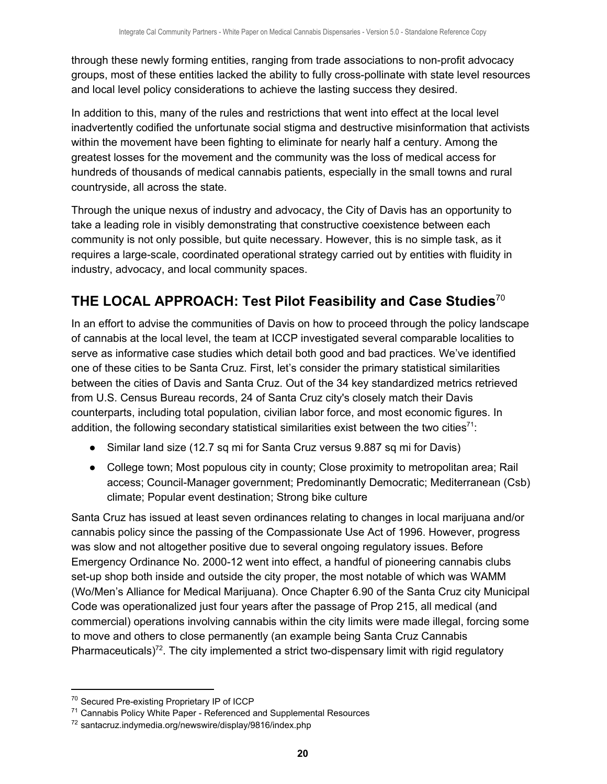through these newly forming entities, ranging from trade associations to non-profit advocacy groups, most of these entities lacked the ability to fully cross-pollinate with state level resources and local level policy considerations to achieve the lasting success they desired.

In addition to this, many of the rules and restrictions that went into effect at the local level inadvertently codified the unfortunate social stigma and destructive misinformation that activists within the movement have been fighting to eliminate for nearly half a century. Among the greatest losses for the movement and the community was the loss of medical access for hundreds of thousands of medical cannabis patients, especially in the small towns and rural countryside, all across the state.

Through the unique nexus of industry and advocacy, the City of Davis has an opportunity to take a leading role in visibly demonstrating that constructive coexistence between each community is not only possible, but quite necessary. However, this is no simple task, as it requires a large-scale, coordinated operational strategy carried out by entities with fluidity in industry, advocacy, and local community spaces.

# <span id="page-20-0"></span>**THE LOCAL APPROACH: Test Pilot Feasibility and Case Studies** 70

In an effort to advise the communities of Davis on how to proceed through the policy landscape of cannabis at the local level, the team at ICCP investigated several comparable localities to serve as informative case studies which detail both good and bad practices. We've identified one of these cities to be Santa Cruz. First, let's consider the primary statistical similarities between the cities of Davis and Santa Cruz. Out of the 34 key standardized metrics retrieved from U.S. Census Bureau records, 24 of Santa Cruz city's closely match their Davis counterparts, including total population, civilian labor force, and most economic figures. In addition, the following secondary statistical similarities exist between the two cities<sup>71</sup>:

- Similar land size (12.7 sq mi for Santa Cruz versus 9.887 sq mi for Davis)
- College town; Most populous city in county; Close proximity to metropolitan area; Rail access; Council-Manager government; Predominantly Democratic; Mediterranean (Csb) climate; Popular event destination; Strong bike culture

Santa Cruz has issued at least seven ordinances relating to changes in local marijuana and/or cannabis policy since the passing of the Compassionate Use Act of 1996. However, progress was slow and not altogether positive due to several ongoing regulatory issues. Before Emergency Ordinance No. 2000-12 went into effect, a handful of pioneering cannabis clubs set-up shop both inside and outside the city proper, the most notable of which was WAMM (Wo/Men's Alliance for Medical Marijuana). Once Chapter 6.90 of the Santa Cruz city Municipal Code was operationalized just four years after the passage of Prop 215, all medical (and commercial) operations involving cannabis within the city limits were made illegal, forcing some to move and others to close permanently (an example being Santa Cruz Cannabis Pharmaceuticals)<sup>72</sup>. The city implemented a strict two-dispensary limit with rigid regulatory

<sup>70</sup> Secured Pre-existing Proprietary IP of ICCP

<sup>&</sup>lt;sup>71</sup> Cannabis Policy White Paper - Referenced and Supplemental Resources

<sup>72</sup> santacruz.indymedia.org/newswire/display/9816/index.php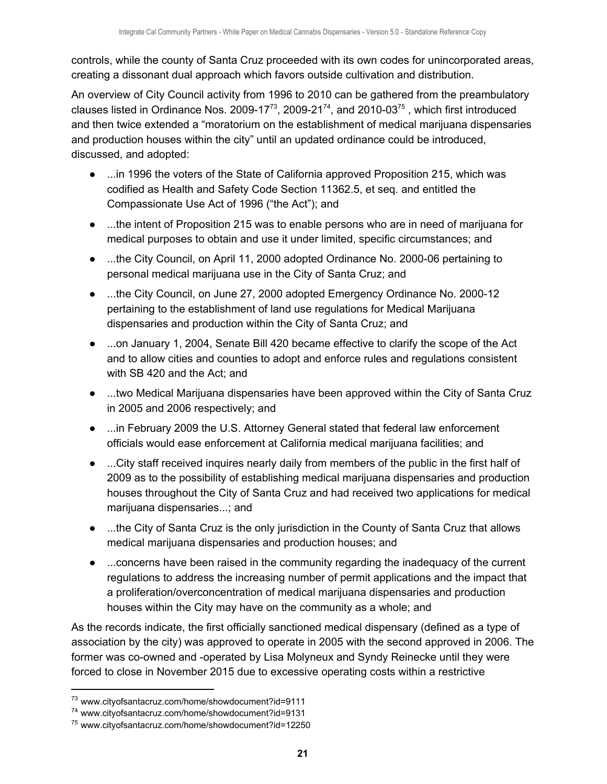controls, while the county of Santa Cruz proceeded with its own codes for unincorporated areas, creating a dissonant dual approach which favors outside cultivation and distribution.

An overview of City Council activity from 1996 to 2010 can be gathered from the preambulatory clauses listed in Ordinance Nos. 2009-17<sup>73</sup>, 2009-21<sup>74</sup>, and 2010-03<sup>75</sup>, which first introduced and then twice extended a "moratorium on the establishment of medical marijuana dispensaries and production houses within the city" until an updated ordinance could be introduced, discussed, and adopted:

- ...in 1996 the voters of the State of California approved Proposition 215, which was codified as Health and Safety Code Section 11362.5, et seq. and entitled the Compassionate Use Act of 1996 ("the Act"); and
- ...the intent of Proposition 215 was to enable persons who are in need of marijuana for medical purposes to obtain and use it under limited, specific circumstances; and
- ...the City Council, on April 11, 2000 adopted Ordinance No. 2000-06 pertaining to personal medical marijuana use in the City of Santa Cruz; and
- ...the City Council, on June 27, 2000 adopted Emergency Ordinance No. 2000-12 pertaining to the establishment of land use regulations for Medical Marijuana dispensaries and production within the City of Santa Cruz; and
- ...on January 1, 2004, Senate Bill 420 became effective to clarify the scope of the Act and to allow cities and counties to adopt and enforce rules and regulations consistent with SB 420 and the Act; and
- ...two Medical Marijuana dispensaries have been approved within the City of Santa Cruz in 2005 and 2006 respectively; and
- ...in February 2009 the U.S. Attorney General stated that federal law enforcement officials would ease enforcement at California medical marijuana facilities; and
- ...City staff received inquires nearly daily from members of the public in the first half of 2009 as to the possibility of establishing medical marijuana dispensaries and production houses throughout the City of Santa Cruz and had received two applications for medical marijuana dispensaries...; and
- ...the City of Santa Cruz is the only jurisdiction in the County of Santa Cruz that allows medical marijuana dispensaries and production houses; and
- ...concerns have been raised in the community regarding the inadequacy of the current regulations to address the increasing number of permit applications and the impact that a proliferation/overconcentration of medical marijuana dispensaries and production houses within the City may have on the community as a whole; and

As the records indicate, the first officially sanctioned medical dispensary (defined as a type of association by the city) was approved to operate in 2005 with the second approved in 2006. The former was co-owned and -operated by Lisa Molyneux and Syndy Reinecke until they were forced to close in November 2015 due to excessive operating costs within a restrictive

<sup>73</sup> www.cityofsantacruz.com/home/showdocument?id=9111

<sup>74</sup> www.cityofsantacruz.com/home/showdocument?id=9131

<sup>75</sup> www.cityofsantacruz.com/home/showdocument?id=12250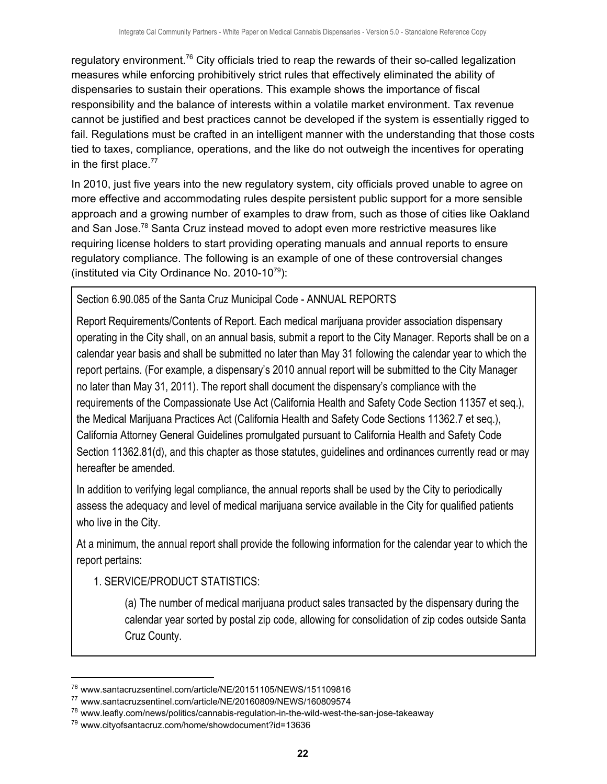regulatory environment.<sup>76</sup> City officials tried to reap the rewards of their so-called legalization measures while enforcing prohibitively strict rules that effectively eliminated the ability of dispensaries to sustain their operations. This example shows the importance of fiscal responsibility and the balance of interests within a volatile market environment. Tax revenue cannot be justified and best practices cannot be developed if the system is essentially rigged to fail. Regulations must be crafted in an intelligent manner with the understanding that those costs tied to taxes, compliance, operations, and the like do not outweigh the incentives for operating in the first place.<sup>77</sup>

In 2010, just five years into the new regulatory system, city officials proved unable to agree on more effective and accommodating rules despite persistent public support for a more sensible approach and a growing number of examples to draw from, such as those of cities like Oakland and San Jose.<sup>78</sup> Santa Cruz instead moved to adopt even more restrictive measures like requiring license holders to start providing operating manuals and annual reports to ensure regulatory compliance. The following is an example of one of these controversial changes (instituted via City Ordinance No. 2010-10 $^{79}$ ):

Section 6.90.085 of the Santa Cruz Municipal Code - ANNUAL REPORTS

Report Requirements/Contents of Report. Each medical marijuana provider association dispensary operating in the City shall, on an annual basis, submit a report to the City Manager. Reports shall be on a calendar year basis and shall be submitted no later than May 31 following the calendar year to which the report pertains. (For example, a dispensary's 2010 annual report will be submitted to the City Manager no later than May 31, 2011). The report shall document the dispensary's compliance with the requirements of the Compassionate Use Act (California Health and Safety Code Section 11357 et seq.), the Medical Marijuana Practices Act (California Health and Safety Code Sections 11362.7 et seq.), California Attorney General Guidelines promulgated pursuant to California Health and Safety Code Section 11362.81(d), and this chapter as those statutes, guidelines and ordinances currently read or may hereafter be amended.

In addition to verifying legal compliance, the annual reports shall be used by the City to periodically assess the adequacy and level of medical marijuana service available in the City for qualified patients who live in the City.

At a minimum, the annual report shall provide the following information for the calendar year to which the report pertains:

1. SERVICE/PRODUCT STATISTICS:

(a) The number of medical marijuana product sales transacted by the dispensary during the calendar year sorted by postal zip code, allowing for consolidation of zip codes outside Santa Cruz County.

<sup>76</sup> www.santacruzsentinel.com/article/NE/20151105/NEWS/151109816

<sup>77</sup> www.santacruzsentinel.com/article/NE/20160809/NEWS/160809574

<sup>78</sup> www.leafly.com/news/politics/cannabis-regulation-in-the-wild-west-the-san-jose-takeaway

<sup>79</sup> www.cityofsantacruz.com/home/showdocument?id=13636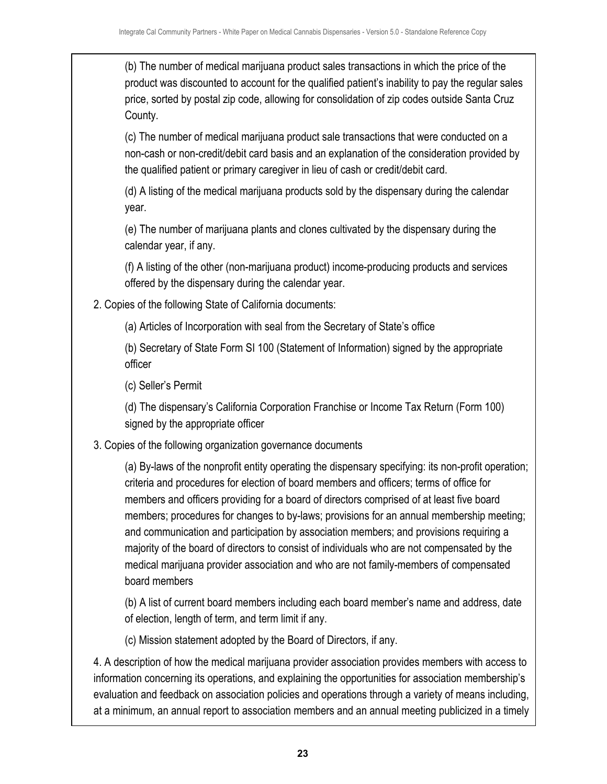(b) The number of medical marijuana product sales transactions in which the price of the product was discounted to account for the qualified patient's inability to pay the regular sales price, sorted by postal zip code, allowing for consolidation of zip codes outside Santa Cruz County.

(c) The number of medical marijuana product sale transactions that were conducted on a non-cash or non-credit/debit card basis and an explanation of the consideration provided by the qualified patient or primary caregiver in lieu of cash or credit/debit card.

(d) A listing of the medical marijuana products sold by the dispensary during the calendar year.

(e) The number of marijuana plants and clones cultivated by the dispensary during the calendar year, if any.

(f) A listing of the other (non-marijuana product) income-producing products and services offered by the dispensary during the calendar year.

2. Copies of the following State of California documents:

(a) Articles of Incorporation with seal from the Secretary of State's office

(b) Secretary of State Form SI 100 (Statement of Information) signed by the appropriate officer

(c) Seller's Permit

(d) The dispensary's California Corporation Franchise or Income Tax Return (Form 100) signed by the appropriate officer

## 3. Copies of the following organization governance documents

(a) By-laws of the nonprofit entity operating the dispensary specifying: its non-profit operation; criteria and procedures for election of board members and officers; terms of office for members and officers providing for a board of directors comprised of at least five board members; procedures for changes to by-laws; provisions for an annual membership meeting; and communication and participation by association members; and provisions requiring a majority of the board of directors to consist of individuals who are not compensated by the medical marijuana provider association and who are not family-members of compensated board members

(b) A list of current board members including each board member's name and address, date of election, length of term, and term limit if any.

(c) Mission statement adopted by the Board of Directors, if any.

4. A description of how the medical marijuana provider association provides members with access to information concerning its operations, and explaining the opportunities for association membership's evaluation and feedback on association policies and operations through a variety of means including, at a minimum, an annual report to association members and an annual meeting publicized in a timely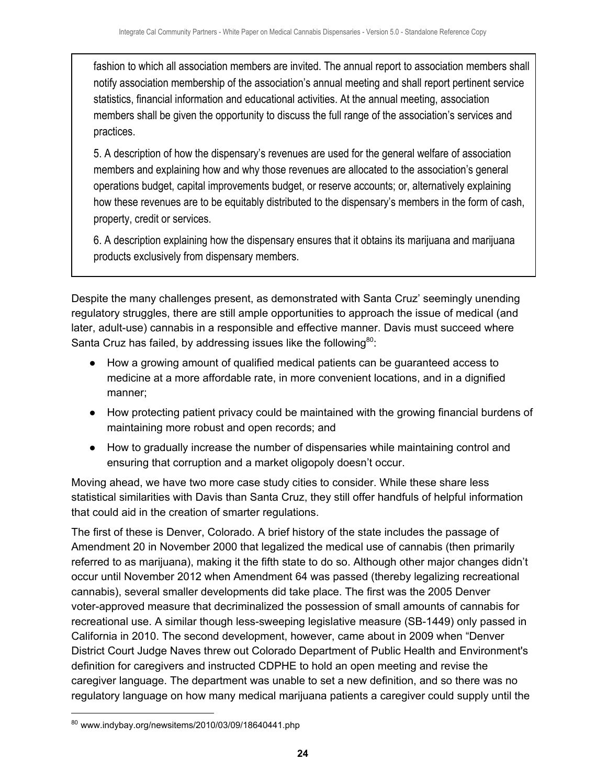fashion to which all association members are invited. The annual report to association members shall notify association membership of the association's annual meeting and shall report pertinent service statistics, financial information and educational activities. At the annual meeting, association members shall be given the opportunity to discuss the full range of the association's services and practices.

5. A description of how the dispensary's revenues are used for the general welfare of association members and explaining how and why those revenues are allocated to the association's general operations budget, capital improvements budget, or reserve accounts; or, alternatively explaining how these revenues are to be equitably distributed to the dispensary's members in the form of cash, property, credit or services.

6. A description explaining how the dispensary ensures that it obtains its marijuana and marijuana products exclusively from dispensary members.

Despite the many challenges present, as demonstrated with Santa Cruz' seemingly unending regulatory struggles, there are still ample opportunities to approach the issue of medical (and later, adult-use) cannabis in a responsible and effective manner. Davis must succeed where Santa Cruz has failed, by addressing issues like the following $80$ :

- How a growing amount of qualified medical patients can be guaranteed access to medicine at a more affordable rate, in more convenient locations, and in a dignified manner;
- How protecting patient privacy could be maintained with the growing financial burdens of maintaining more robust and open records; and
- How to gradually increase the number of dispensaries while maintaining control and ensuring that corruption and a market oligopoly doesn't occur.

Moving ahead, we have two more case study cities to consider. While these share less statistical similarities with Davis than Santa Cruz, they still offer handfuls of helpful information that could aid in the creation of smarter regulations.

The first of these is Denver, Colorado. A brief history of the state includes the passage of Amendment 20 in November 2000 that legalized the medical use of cannabis (then primarily referred to as marijuana), making it the fifth state to do so. Although other major changes didn't occur until November 2012 when Amendment 64 was passed (thereby legalizing recreational cannabis), several smaller developments did take place. The first was the 2005 Denver voter-approved measure that decriminalized the possession of small amounts of cannabis for recreational use. A similar though less-sweeping legislative measure (SB-1449) only passed in California in 2010. The second development, however, came about in 2009 when "Denver District Court Judge Naves threw out Colorado Department of Public Health and Environment's definition for caregivers and instructed CDPHE to hold an open meeting and revise the caregiver language. The department was unable to set a new definition, and so there was no regulatory language on how many medical marijuana patients a caregiver could supply until the

 $80$  www.indybay.org/newsitems/2010/03/09/18640441.php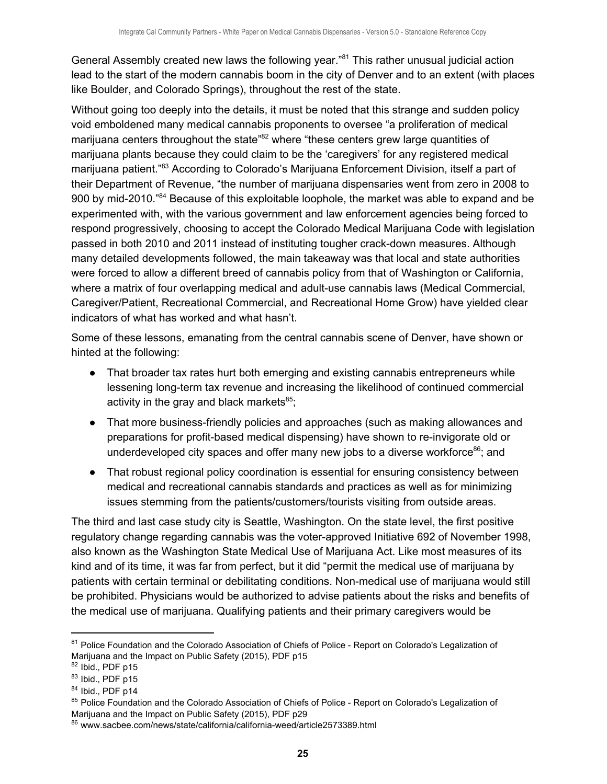General Assembly created new laws the following year."<sup>81</sup> This rather unusual judicial action lead to the start of the modern cannabis boom in the city of Denver and to an extent (with places like Boulder, and Colorado Springs), throughout the rest of the state.

Without going too deeply into the details, it must be noted that this strange and sudden policy void emboldened many medical cannabis proponents to oversee "a proliferation of medical marijuana centers throughout the state"<sup>82</sup> where "these centers grew large quantities of marijuana plants because they could claim to be the 'caregivers' for any registered medical marijuana patient."<sup>83</sup> According to Colorado's Marijuana Enforcement Division, itself a part of their Department of Revenue, "the number of marijuana dispensaries went from zero in 2008 to 900 by mid-2010."<sup>84</sup> Because of this exploitable loophole, the market was able to expand and be experimented with, with the various government and law enforcement agencies being forced to respond progressively, choosing to accept the Colorado Medical Marijuana Code with legislation passed in both 2010 and 2011 instead of instituting tougher crack-down measures. Although many detailed developments followed, the main takeaway was that local and state authorities were forced to allow a different breed of cannabis policy from that of Washington or California, where a matrix of four overlapping medical and adult-use cannabis laws (Medical Commercial, Caregiver/Patient, Recreational Commercial, and Recreational Home Grow) have yielded clear indicators of what has worked and what hasn't.

Some of these lessons, emanating from the central cannabis scene of Denver, have shown or hinted at the following:

- That broader tax rates hurt both emerging and existing cannabis entrepreneurs while lessening long-term tax revenue and increasing the likelihood of continued commercial activity in the gray and black markets $^{85}$ ;
- That more business-friendly policies and approaches (such as making allowances and preparations for profit-based medical dispensing) have shown to re-invigorate old or underdeveloped city spaces and offer many new jobs to a diverse workforce $^{86}$ ; and
- That robust regional policy coordination is essential for ensuring consistency between medical and recreational cannabis standards and practices as well as for minimizing issues stemming from the patients/customers/tourists visiting from outside areas.

The third and last case study city is Seattle, Washington. On the state level, the first positive regulatory change regarding cannabis was the voter-approved Initiative 692 of November 1998, also known as the Washington State Medical Use of Marijuana Act. Like most measures of its kind and of its time, it was far from perfect, but it did "permit the medical use of marijuana by patients with certain terminal or debilitating conditions. Non-medical use of marijuana would still be prohibited. Physicians would be authorized to advise patients about the risks and benefits of the medical use of marijuana. Qualifying patients and their primary caregivers would be

<sup>81</sup> Police Foundation and the Colorado Association of Chiefs of Police - Report on Colorado's Legalization of Marijuana and the Impact on Public Safety (2015), PDF p15

 $82$  Ibid., PDF p15

<sup>83</sup> Ibid., PDF p15

 $84$  Ibid., PDF p14

<sup>&</sup>lt;sup>85</sup> Police Foundation and the Colorado Association of Chiefs of Police - Report on Colorado's Legalization of Marijuana and the Impact on Public Safety (2015), PDF p29

<sup>86</sup> www.sacbee.com/news/state/california/california-weed/article2573389.html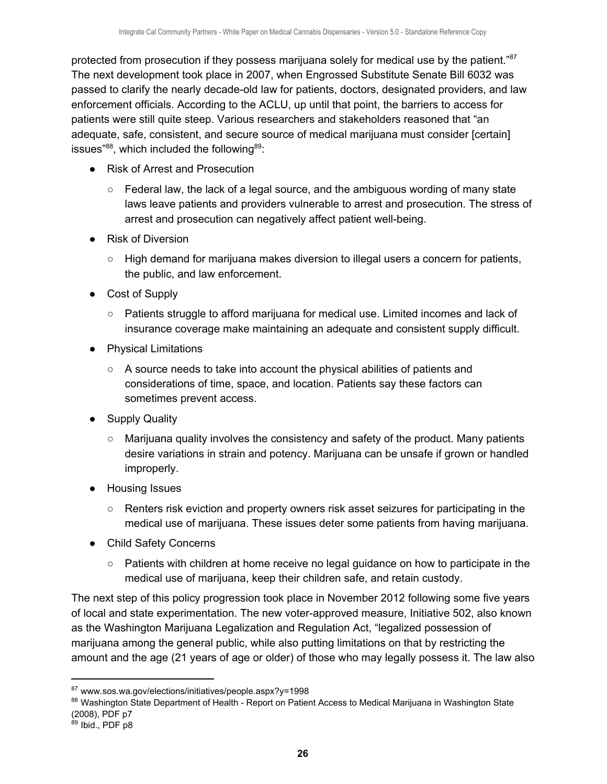protected from prosecution if they possess marijuana solely for medical use by the patient."<sup>87</sup> The next development took place in 2007, when Engrossed Substitute Senate Bill 6032 was passed to clarify the nearly decade-old law for patients, doctors, designated providers, and law enforcement officials. According to the ACLU, up until that point, the barriers to access for patients were still quite steep. Various researchers and stakeholders reasoned that "an adequate, safe, consistent, and secure source of medical marijuana must consider [certain] issues" $^{88}$ , which included the following $^{89}$ :

- Risk of Arrest and Prosecution
	- $\circ$  Federal law, the lack of a legal source, and the ambiguous wording of many state laws leave patients and providers vulnerable to arrest and prosecution. The stress of arrest and prosecution can negatively affect patient well-being.
- Risk of Diversion
	- High demand for marijuana makes diversion to illegal users a concern for patients, the public, and law enforcement.
- Cost of Supply
	- Patients struggle to afford marijuana for medical use. Limited incomes and lack of insurance coverage make maintaining an adequate and consistent supply difficult.
- Physical Limitations
	- A source needs to take into account the physical abilities of patients and considerations of time, space, and location. Patients say these factors can sometimes prevent access.
- Supply Quality
	- $\circ$  Marijuana quality involves the consistency and safety of the product. Many patients desire variations in strain and potency. Marijuana can be unsafe if grown or handled improperly.
- Housing Issues
	- Renters risk eviction and property owners risk asset seizures for participating in the medical use of marijuana. These issues deter some patients from having marijuana.
- Child Safety Concerns
	- $\circ$  Patients with children at home receive no legal guidance on how to participate in the medical use of marijuana, keep their children safe, and retain custody.

The next step of this policy progression took place in November 2012 following some five years of local and state experimentation. The new voter-approved measure, Initiative 502, also known as the Washington Marijuana Legalization and Regulation Act, "legalized possession of marijuana among the general public, while also putting limitations on that by restricting the amount and the age (21 years of age or older) of those who may legally possess it. The law also

<sup>87</sup> www.sos.wa.gov/elections/initiatives/people.aspx?y=1998

<sup>88</sup> Washington State Department of Health - Report on Patient Access to Medical Marijuana in Washington State (2008), PDF p7

<sup>89</sup> Ibid., PDF p8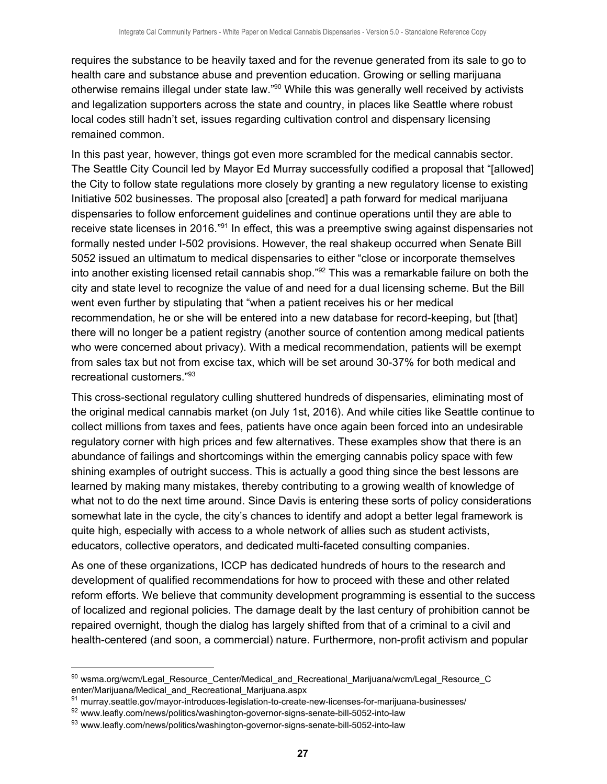requires the substance to be heavily taxed and for the revenue generated from its sale to go to health care and substance abuse and prevention education. Growing or selling marijuana otherwise remains illegal under state law."<sup>90</sup> While this was generally well received by activists and legalization supporters across the state and country, in places like Seattle where robust local codes still hadn't set, issues regarding cultivation control and dispensary licensing remained common.

In this past year, however, things got even more scrambled for the medical cannabis sector. The Seattle City Council led by Mayor Ed Murray successfully codified a proposal that "[allowed] the City to follow state regulations more closely by granting a new regulatory license to existing Initiative 502 businesses. The proposal also [created] a path forward for medical marijuana dispensaries to follow enforcement guidelines and continue operations until they are able to receive state licenses in 2016."<sup>91</sup> In effect, this was a preemptive swing against dispensaries not formally nested under I-502 provisions. However, the real shakeup occurred when Senate Bill 5052 issued an ultimatum to medical dispensaries to either "close or incorporate themselves into another existing licensed retail cannabis shop." $92$  This was a remarkable failure on both the city and state level to recognize the value of and need for a dual licensing scheme. But the Bill went even further by stipulating that "when a patient receives his or her medical recommendation, he or she will be entered into a new database for record-keeping, but [that] there will no longer be a patient registry (another source of contention among medical patients who were concerned about privacy). With a medical recommendation, patients will be exempt from sales tax but not from excise tax, which will be set around 30-37% for both medical and recreational customers." 93

This cross-sectional regulatory culling shuttered hundreds of dispensaries, eliminating most of the original medical cannabis market (on July 1st, 2016). And while cities like Seattle continue to collect millions from taxes and fees, patients have once again been forced into an undesirable regulatory corner with high prices and few alternatives. These examples show that there is an abundance of failings and shortcomings within the emerging cannabis policy space with few shining examples of outright success. This is actually a good thing since the best lessons are learned by making many mistakes, thereby contributing to a growing wealth of knowledge of what not to do the next time around. Since Davis is entering these sorts of policy considerations somewhat late in the cycle, the city's chances to identify and adopt a better legal framework is quite high, especially with access to a whole network of allies such as student activists, educators, collective operators, and dedicated multi-faceted consulting companies.

As one of these organizations, ICCP has dedicated hundreds of hours to the research and development of qualified recommendations for how to proceed with these and other related reform efforts. We believe that community development programming is essential to the success of localized and regional policies. The damage dealt by the last century of prohibition cannot be repaired overnight, though the dialog has largely shifted from that of a criminal to a civil and health-centered (and soon, a commercial) nature. Furthermore, non-profit activism and popular

<sup>90</sup> wsma.org/wcm/Legal Resource Center/Medical and Recreational Marijuana/wcm/Legal Resource C enter/Marijuana/Medical and Recreational Marijuana.aspx

<sup>91</sup> murray.seattle.gov/mayor-introduces-legislation-to-create-new-licenses-for-marijuana-businesses/

<sup>92</sup> www.leafly.com/news/politics/washington-governor-signs-senate-bill-5052-into-law

<sup>93</sup> www.leafly.com/news/politics/washington-governor-signs-senate-bill-5052-into-law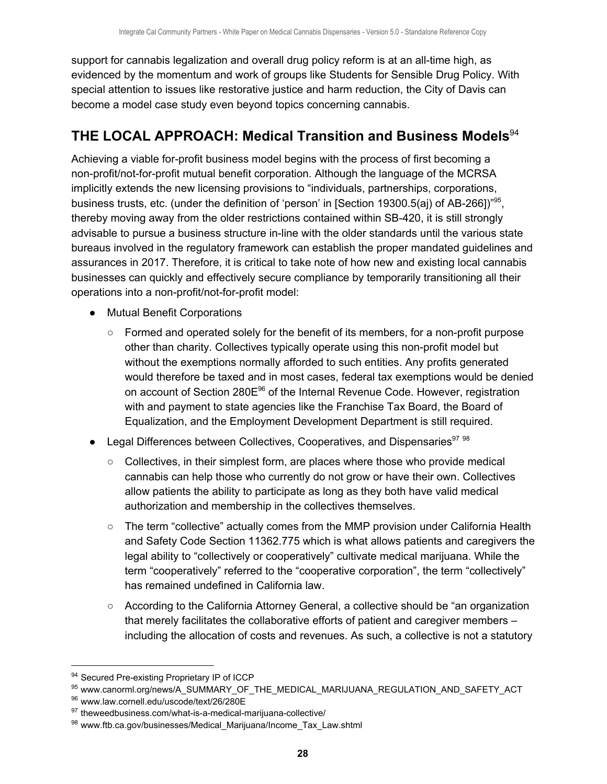support for cannabis legalization and overall drug policy reform is at an all-time high, as evidenced by the momentum and work of groups like Students for Sensible Drug Policy. With special attention to issues like restorative justice and harm reduction, the City of Davis can become a model case study even beyond topics concerning cannabis.

# <span id="page-28-0"></span>**THE LOCAL APPROACH: Medical Transition and Business Models** 94

Achieving a viable for-profit business model begins with the process of first becoming a non-profit/not-for-profit mutual benefit corporation. Although the language of the MCRSA implicitly extends the new licensing provisions to "individuals, partnerships, corporations, business trusts, etc. (under the definition of 'person' in [Section 19300.5(aj) of AB-266])"<sup>95</sup>, thereby moving away from the older restrictions contained within SB-420, it is still strongly advisable to pursue a business structure in-line with the older standards until the various state bureaus involved in the regulatory framework can establish the proper mandated guidelines and assurances in 2017. Therefore, it is critical to take note of how new and existing local cannabis businesses can quickly and effectively secure compliance by temporarily transitioning all their operations into a non-profit/not-for-profit model:

- Mutual Benefit Corporations
	- $\circ$  Formed and operated solely for the benefit of its members, for a non-profit purpose other than charity. Collectives typically operate using this non-profit model but without the exemptions normally afforded to such entities. Any profits generated would therefore be taxed and in most cases, federal tax exemptions would be denied on account of Section 280 $E^{96}$  of the Internal Revenue Code. However, registration with and payment to state agencies like the Franchise Tax Board, the Board of Equalization, and the Employment Development Department is still required.
- Legal Differences between Collectives, Cooperatives, and Dispensaries<sup>97 98</sup>
	- $\circ$  Collectives, in their simplest form, are places where those who provide medical cannabis can help those who currently do not grow or have their own. Collectives allow patients the ability to participate as long as they both have valid medical authorization and membership in the collectives themselves.
	- $\circ$  The term "collective" actually comes from the MMP provision under California Health and Safety Code Section 11362.775 which is what allows patients and caregivers the legal ability to "collectively or cooperatively" cultivate medical marijuana. While the term "cooperatively" referred to the "cooperative corporation", the term "collectively" has remained undefined in California law.
	- According to the California Attorney General, a collective should be "an organization that merely facilitates the collaborative efforts of patient and caregiver members – including the allocation of costs and revenues. As such, a collective is not a statutory

<sup>94</sup> Secured Pre-existing Proprietary IP of ICCP

<sup>95</sup> www.canorml.org/news/A\_SUMMARY\_OF\_THE\_MEDICAL\_MARIJUANA\_REGULATION\_AND\_SAFETY\_ACT

<sup>96</sup> www.law.cornell.edu/uscode/text/26/280E

<sup>97</sup> theweedbusiness.com/what-is-a-medical-marijuana-collective/

<sup>98</sup> www.ftb.ca.gov/businesses/Medical Marijuana/Income Tax Law.shtml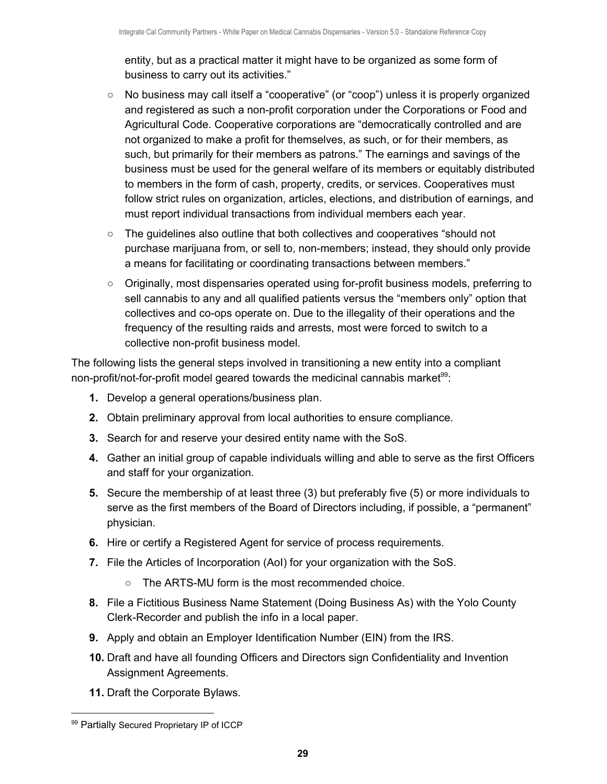entity, but as a practical matter it might have to be organized as some form of business to carry out its activities."

- No business may call itself a "cooperative" (or "coop") unless it is properly organized and registered as such a non-profit corporation under the Corporations or Food and Agricultural Code. Cooperative corporations are "democratically controlled and are not organized to make a profit for themselves, as such, or for their members, as such, but primarily for their members as patrons." The earnings and savings of the business must be used for the general welfare of its members or equitably distributed to members in the form of cash, property, credits, or services. Cooperatives must follow strict rules on organization, articles, elections, and distribution of earnings, and must report individual transactions from individual members each year.
- The guidelines also outline that both collectives and cooperatives "should not purchase marijuana from, or sell to, non-members; instead, they should only provide a means for facilitating or coordinating transactions between members."
- Originally, most dispensaries operated using for-profit business models, preferring to sell cannabis to any and all qualified patients versus the "members only" option that collectives and co-ops operate on. Due to the illegality of their operations and the frequency of the resulting raids and arrests, most were forced to switch to a collective non-profit business model.

The following lists the general steps involved in transitioning a new entity into a compliant non-profit/not-for-profit model geared towards the medicinal cannabis market $99$ :

- **1.** Develop a general operations/business plan.
- **2.** Obtain preliminary approval from local authorities to ensure compliance.
- **3.** Search for and reserve your desired entity name with the SoS.
- **4.** Gather an initial group of capable individuals willing and able to serve as the first Officers and staff for your organization.
- **5.** Secure the membership of at least three (3) but preferably five (5) or more individuals to serve as the first members of the Board of Directors including, if possible, a "permanent" physician.
- **6.** Hire or certify a Registered Agent for service of process requirements.
- **7.** File the Articles of Incorporation (AoI) for your organization with the SoS.
	- The ARTS-MU form is the most recommended choice.
- **8.** File a Fictitious Business Name Statement (Doing Business As) with the Yolo County Clerk-Recorder and publish the info in a local paper.
- **9.** Apply and obtain an Employer Identification Number (EIN) from the IRS.
- **10.** Draft and have all founding Officers and Directors sign Confidentiality and Invention Assignment Agreements.
- **11.** Draft the Corporate Bylaws.

<sup>99</sup> Partially Secured Proprietary IP of ICCP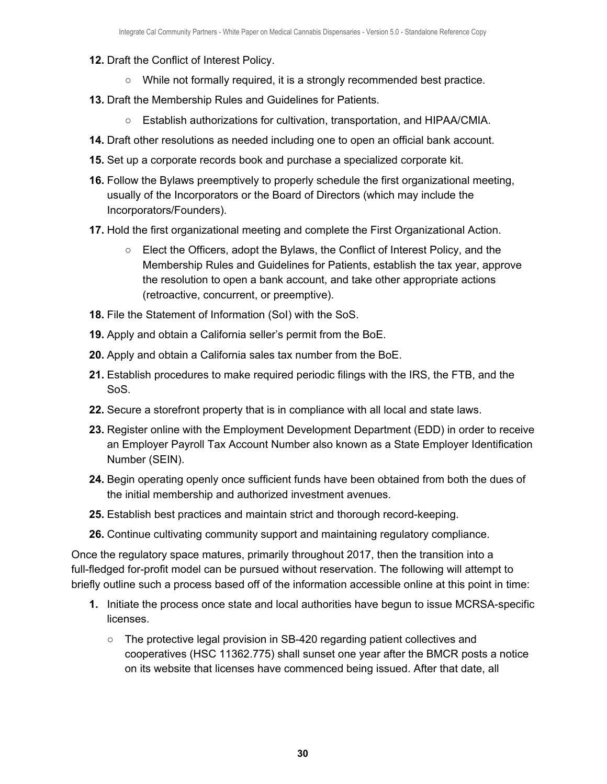- **12.** Draft the Conflict of Interest Policy.
	- $\circ$  While not formally required, it is a strongly recommended best practice.
- **13.** Draft the Membership Rules and Guidelines for Patients.
	- Establish authorizations for cultivation, transportation, and HIPAA/CMIA.
- **14.** Draft other resolutions as needed including one to open an official bank account.
- **15.** Set up a corporate records book and purchase a specialized corporate kit.
- **16.** Follow the Bylaws preemptively to properly schedule the first organizational meeting, usually of the Incorporators or the Board of Directors (which may include the Incorporators/Founders).
- **17.** Hold the first organizational meeting and complete the First Organizational Action.
	- Elect the Officers, adopt the Bylaws, the Conflict of Interest Policy, and the Membership Rules and Guidelines for Patients, establish the tax year, approve the resolution to open a bank account, and take other appropriate actions (retroactive, concurrent, or preemptive).
- **18.** File the Statement of Information (SoI) with the SoS.
- **19.** Apply and obtain a California seller's permit from the BoE.
- **20.** Apply and obtain a California sales tax number from the BoE.
- **21.** Establish procedures to make required periodic filings with the IRS, the FTB, and the SoS.
- **22.** Secure a storefront property that is in compliance with all local and state laws.
- **23.** Register online with the Employment Development Department (EDD) in order to receive an Employer Payroll Tax Account Number also known as a State Employer Identification Number (SEIN).
- **24.** Begin operating openly once sufficient funds have been obtained from both the dues of the initial membership and authorized investment avenues.
- **25.** Establish best practices and maintain strict and thorough record-keeping.
- **26.** Continue cultivating community support and maintaining regulatory compliance.

Once the regulatory space matures, primarily throughout 2017, then the transition into a full-fledged for-profit model can be pursued without reservation. The following will attempt to briefly outline such a process based off of the information accessible online at this point in time:

- **1.** Initiate the process once state and local authorities have begun to issue MCRSA-specific licenses.
	- The protective legal provision in SB-420 regarding patient collectives and cooperatives (HSC 11362.775) shall sunset one year after the BMCR posts a notice on its website that licenses have commenced being issued. After that date, all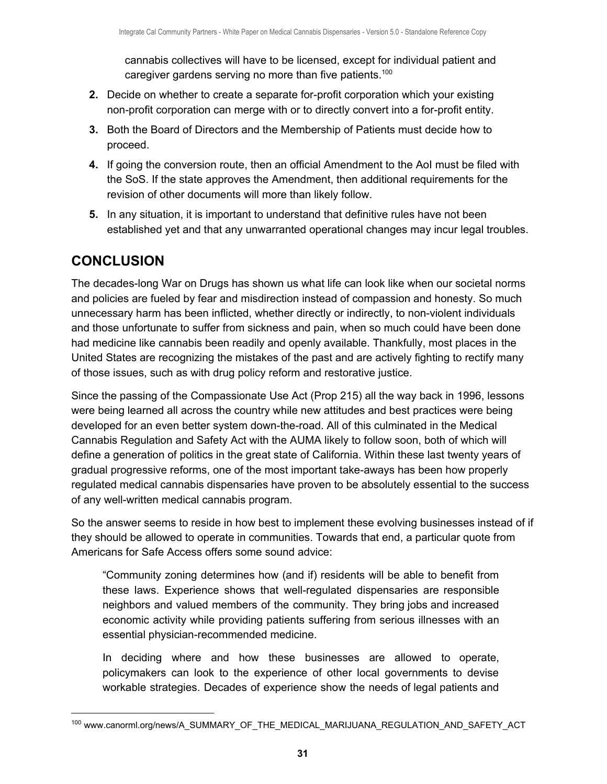cannabis collectives will have to be licensed, except for individual patient and caregiver gardens serving no more than five patients.<sup>100</sup>

- **2.** Decide on whether to create a separate for-profit corporation which your existing non-profit corporation can merge with or to directly convert into a for-profit entity.
- **3.** Both the Board of Directors and the Membership of Patients must decide how to proceed.
- **4.** If going the conversion route, then an official Amendment to the AoI must be filed with the SoS. If the state approves the Amendment, then additional requirements for the revision of other documents will more than likely follow.
- **5.** In any situation, it is important to understand that definitive rules have not been established yet and that any unwarranted operational changes may incur legal troubles.

# <span id="page-31-0"></span>**CONCLUSION**

The decades-long War on Drugs has shown us what life can look like when our societal norms and policies are fueled by fear and misdirection instead of compassion and honesty. So much unnecessary harm has been inflicted, whether directly or indirectly, to non-violent individuals and those unfortunate to suffer from sickness and pain, when so much could have been done had medicine like cannabis been readily and openly available. Thankfully, most places in the United States are recognizing the mistakes of the past and are actively fighting to rectify many of those issues, such as with drug policy reform and restorative justice.

Since the passing of the Compassionate Use Act (Prop 215) all the way back in 1996, lessons were being learned all across the country while new attitudes and best practices were being developed for an even better system down-the-road. All of this culminated in the Medical Cannabis Regulation and Safety Act with the AUMA likely to follow soon, both of which will define a generation of politics in the great state of California. Within these last twenty years of gradual progressive reforms, one of the most important take-aways has been how properly regulated medical cannabis dispensaries have proven to be absolutely essential to the success of any well-written medical cannabis program.

So the answer seems to reside in how best to implement these evolving businesses instead of if they should be allowed to operate in communities. Towards that end, a particular quote from Americans for Safe Access offers some sound advice:

"Community zoning determines how (and if) residents will be able to benefit from these laws. Experience shows that well-regulated dispensaries are responsible neighbors and valued members of the community. They bring jobs and increased economic activity while providing patients suffering from serious illnesses with an essential physician-recommended medicine.

In deciding where and how these businesses are allowed to operate, policymakers can look to the experience of other local governments to devise workable strategies. Decades of experience show the needs of legal patients and

<sup>100</sup> www.canorml.org/news/A\_SUMMARY\_OF\_THE\_MEDICAL\_MARIJUANA\_REGULATION\_AND\_SAFETY\_ACT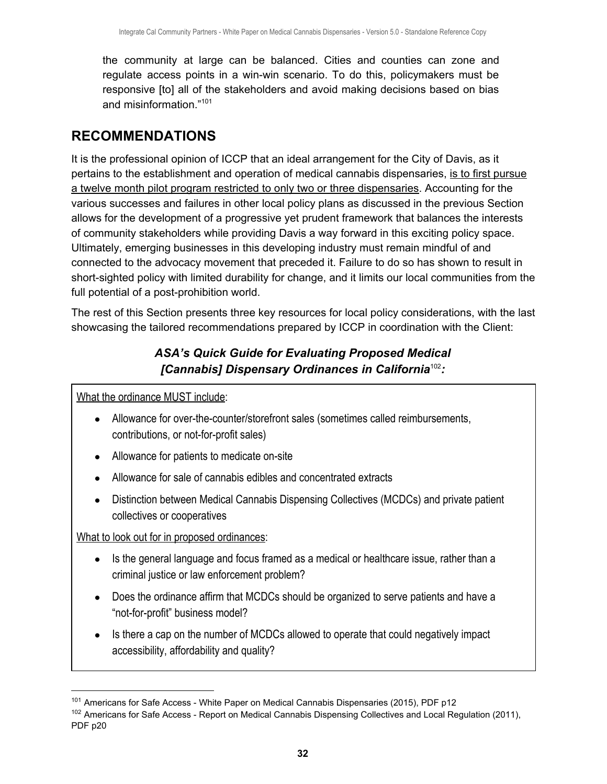the community at large can be balanced. Cities and counties can zone and regulate access points in a win-win scenario. To do this, policymakers must be responsive [to] all of the stakeholders and avoid making decisions based on bias and misinformation."<sup>101</sup>

## <span id="page-32-0"></span>**RECOMMENDATIONS**

It is the professional opinion of ICCP that an ideal arrangement for the City of Davis, as it pertains to the establishment and operation of medical cannabis dispensaries, is to first pursue a twelve month pilot program restricted to only two or three dispensaries. Accounting for the various successes and failures in other local policy plans as discussed in the previous Section allows for the development of a progressive yet prudent framework that balances the interests of community stakeholders while providing Davis a way forward in this exciting policy space. Ultimately, emerging businesses in this developing industry must remain mindful of and connected to the advocacy movement that preceded it. Failure to do so has shown to result in short-sighted policy with limited durability for change, and it limits our local communities from the full potential of a post-prohibition world.

The rest of this Section presents three key resources for local policy considerations, with the last showcasing the tailored recommendations prepared by ICCP in coordination with the Client:

## *ASA's Quick Guide for Evaluating Proposed Medical [Cannabis] Dispensary Ordinances in California<sup>102</sup>:*

What the ordinance MUST include:

- Allowance for over-the-counter/storefront sales (sometimes called reimbursements, contributions, or not-for-profit sales)
- Allowance for patients to medicate on-site
- Allowance for sale of cannabis edibles and concentrated extracts
- Distinction between Medical Cannabis Dispensing Collectives (MCDCs) and private patient collectives or cooperatives

What to look out for in proposed ordinances:

- Is the general language and focus framed as a medical or healthcare issue, rather than a criminal justice or law enforcement problem?
- Does the ordinance affirm that MCDCs should be organized to serve patients and have a "not-for-profit" business model?
- Is there a cap on the number of MCDCs allowed to operate that could negatively impact accessibility, affordability and quality?

<sup>&</sup>lt;sup>101</sup> Americans for Safe Access - White Paper on Medical Cannabis Dispensaries (2015), PDF p12

<sup>&</sup>lt;sup>102</sup> Americans for Safe Access - Report on Medical Cannabis Dispensing Collectives and Local Regulation (2011), PDF p20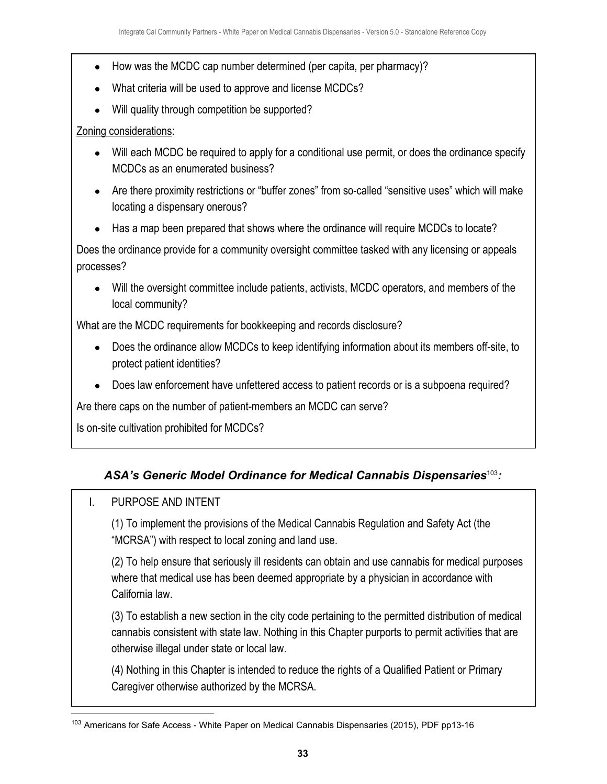- How was the MCDC cap number determined (per capita, per pharmacy)?
- What criteria will be used to approve and license MCDCs?
- Will quality through competition be supported?

#### Zoning considerations:

- Will each MCDC be required to apply for a conditional use permit, or does the ordinance specify MCDCs as an enumerated business?
- Are there proximity restrictions or "buffer zones" from so-called "sensitive uses" which will make locating a dispensary onerous?
- Has a map been prepared that shows where the ordinance will require MCDCs to locate?

Does the ordinance provide for a community oversight committee tasked with any licensing or appeals processes?

• Will the oversight committee include patients, activists, MCDC operators, and members of the local community?

What are the MCDC requirements for bookkeeping and records disclosure?

- Does the ordinance allow MCDCs to keep identifying information about its members off-site, to protect patient identities?
- Does law enforcement have unfettered access to patient records or is a subpoena required?

Are there caps on the number of patient-members an MCDC can serve?

Is on-site cultivation prohibited for MCDCs?

## ASA's Generic Model Ordinance for Medical Cannabis Dispensaries<sup>103</sup>:

## I. PURPOSE AND INTENT

(1) To implement the provisions of the Medical Cannabis Regulation and Safety Act (the "MCRSA") with respect to local zoning and land use.

(2) To help ensure that seriously ill residents can obtain and use cannabis for medical purposes where that medical use has been deemed appropriate by a physician in accordance with California law.

(3) To establish a new section in the city code pertaining to the permitted distribution of medical cannabis consistent with state law. Nothing in this Chapter purports to permit activities that are otherwise illegal under state or local law.

(4) Nothing in this Chapter is intended to reduce the rights of a Qualified Patient or Primary Caregiver otherwise authorized by the MCRSA.

<sup>&</sup>lt;sup>103</sup> Americans for Safe Access - White Paper on Medical Cannabis Dispensaries (2015), PDF pp13-16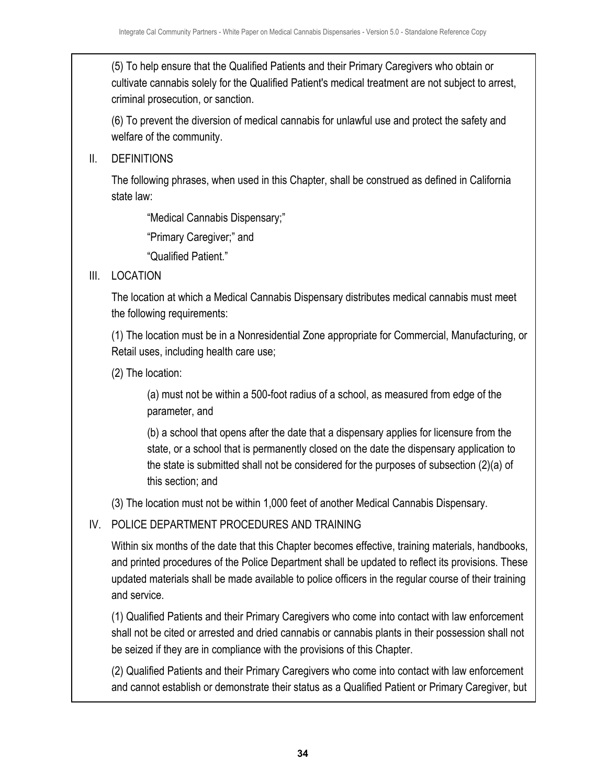(5) To help ensure that the Qualified Patients and their Primary Caregivers who obtain or cultivate cannabis solely for the Qualified Patient's medical treatment are not subject to arrest, criminal prosecution, or sanction.

(6) To prevent the diversion of medical cannabis for unlawful use and protect the safety and welfare of the community.

II. DEFINITIONS

The following phrases, when used in this Chapter, shall be construed as defined in California state law:

"Medical Cannabis Dispensary;"

"Primary Caregiver;" and

"Qualified Patient."

III. LOCATION

The location at which a Medical Cannabis Dispensary distributes medical cannabis must meet the following requirements:

(1) The location must be in a Nonresidential Zone appropriate for Commercial, Manufacturing, or Retail uses, including health care use;

(2) The location:

(a) must not be within a 500-foot radius of a school, as measured from edge of the parameter, and

(b) a school that opens after the date that a dispensary applies for licensure from the state, or a school that is permanently closed on the date the dispensary application to the state is submitted shall not be considered for the purposes of subsection (2)(a) of this section; and

(3) The location must not be within 1,000 feet of another Medical Cannabis Dispensary.

## IV. POLICE DEPARTMENT PROCEDURES AND TRAINING

Within six months of the date that this Chapter becomes effective, training materials, handbooks, and printed procedures of the Police Department shall be updated to reflect its provisions. These updated materials shall be made available to police officers in the regular course of their training and service.

(1) Qualified Patients and their Primary Caregivers who come into contact with law enforcement shall not be cited or arrested and dried cannabis or cannabis plants in their possession shall not be seized if they are in compliance with the provisions of this Chapter.

(2) Qualified Patients and their Primary Caregivers who come into contact with law enforcement and cannot establish or demonstrate their status as a Qualified Patient or Primary Caregiver, but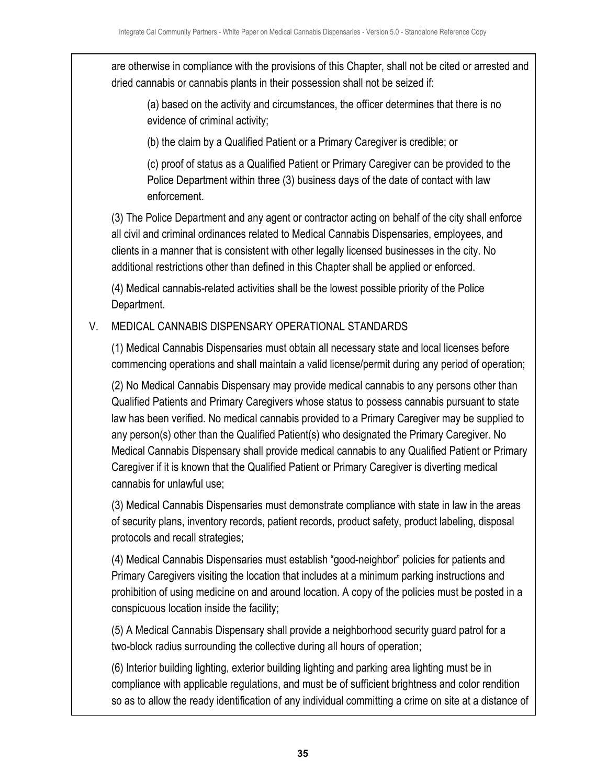are otherwise in compliance with the provisions of this Chapter, shall not be cited or arrested and dried cannabis or cannabis plants in their possession shall not be seized if:

(a) based on the activity and circumstances, the officer determines that there is no evidence of criminal activity;

(b) the claim by a Qualified Patient or a Primary Caregiver is credible; or

(c) proof of status as a Qualified Patient or Primary Caregiver can be provided to the Police Department within three (3) business days of the date of contact with law enforcement.

(3) The Police Department and any agent or contractor acting on behalf of the city shall enforce all civil and criminal ordinances related to Medical Cannabis Dispensaries, employees, and clients in a manner that is consistent with other legally licensed businesses in the city. No additional restrictions other than defined in this Chapter shall be applied or enforced.

(4) Medical cannabis-related activities shall be the lowest possible priority of the Police Department.

#### V. MEDICAL CANNABIS DISPENSARY OPERATIONAL STANDARDS

(1) Medical Cannabis Dispensaries must obtain all necessary state and local licenses before commencing operations and shall maintain a valid license/permit during any period of operation;

(2) No Medical Cannabis Dispensary may provide medical cannabis to any persons other than Qualified Patients and Primary Caregivers whose status to possess cannabis pursuant to state law has been verified. No medical cannabis provided to a Primary Caregiver may be supplied to any person(s) other than the Qualified Patient(s) who designated the Primary Caregiver. No Medical Cannabis Dispensary shall provide medical cannabis to any Qualified Patient or Primary Caregiver if it is known that the Qualified Patient or Primary Caregiver is diverting medical cannabis for unlawful use;

(3) Medical Cannabis Dispensaries must demonstrate compliance with state in law in the areas of security plans, inventory records, patient records, product safety, product labeling, disposal protocols and recall strategies;

(4) Medical Cannabis Dispensaries must establish "good-neighbor" policies for patients and Primary Caregivers visiting the location that includes at a minimum parking instructions and prohibition of using medicine on and around location. A copy of the policies must be posted in a conspicuous location inside the facility;

(5) A Medical Cannabis Dispensary shall provide a neighborhood security guard patrol for a two-block radius surrounding the collective during all hours of operation;

(6) Interior building lighting, exterior building lighting and parking area lighting must be in compliance with applicable regulations, and must be of sufficient brightness and color rendition so as to allow the ready identification of any individual committing a crime on site at a distance of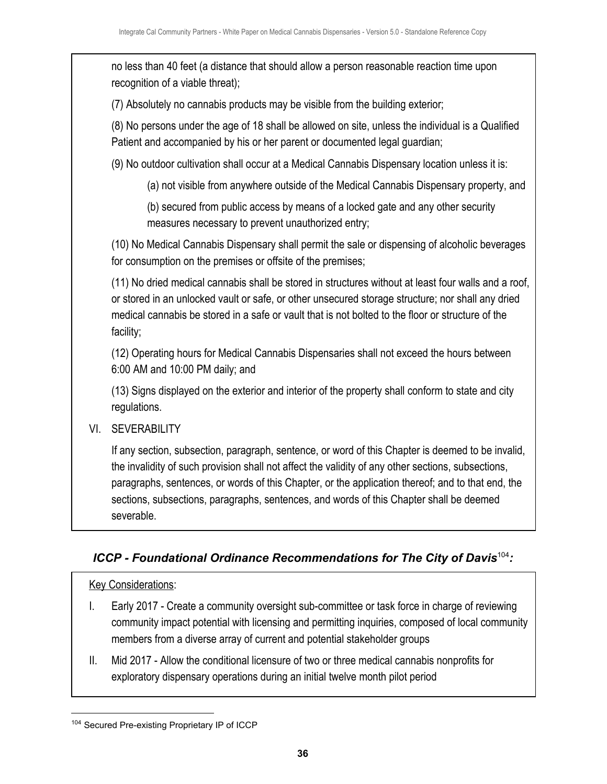no less than 40 feet (a distance that should allow a person reasonable reaction time upon recognition of a viable threat); (7) Absolutely no cannabis products may be visible from the building exterior; (8) No persons under the age of 18 shall be allowed on site, unless the individual is a Qualified Patient and accompanied by his or her parent or documented legal guardian; (9) No outdoor cultivation shall occur at a Medical Cannabis Dispensary location unless it is: (a) not visible from anywhere outside of the Medical Cannabis Dispensary property, and (b) secured from public access by means of a locked gate and any other security measures necessary to prevent unauthorized entry; (10) No Medical Cannabis Dispensary shall permit the sale or dispensing of alcoholic beverages for consumption on the premises or offsite of the premises; (11) No dried medical cannabis shall be stored in structures without at least four walls and a roof, or stored in an unlocked vault or safe, or other unsecured storage structure; nor shall any dried medical cannabis be stored in a safe or vault that is not bolted to the floor or structure of the facility; (12) Operating hours for Medical Cannabis Dispensaries shall not exceed the hours between 6:00 AM and 10:00 PM daily; and (13) Signs displayed on the exterior and interior of the property shall conform to state and city regulations. VI. SEVERABILITY If any section, subsection, paragraph, sentence, or word of this Chapter is deemed to be invalid, the invalidity of such provision shall not affect the validity of any other sections, subsections,

paragraphs, sentences, or words of this Chapter, or the application thereof; and to that end, the sections, subsections, paragraphs, sentences, and words of this Chapter shall be deemed severable.

## *ICCP - Foundational Ordinance Recommendations for The City of Davis<sup>104</sup>:*

#### Key Considerations:

- I. Early 2017 Create a community oversight sub-committee or task force in charge of reviewing community impact potential with licensing and permitting inquiries, composed of local community members from a diverse array of current and potential stakeholder groups
- II. Mid 2017 Allow the conditional licensure of two or three medical cannabis nonprofits for exploratory dispensary operations during an initial twelve month pilot period

<sup>104</sup> Secured Pre-existing Proprietary IP of ICCP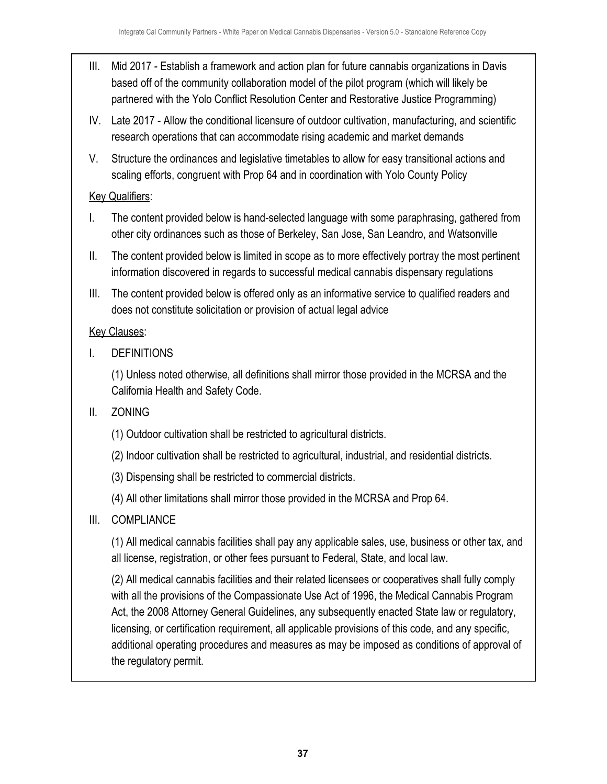- III. Mid 2017 Establish a framework and action plan for future cannabis organizations in Davis based off of the community collaboration model of the pilot program (which will likely be partnered with the Yolo Conflict Resolution Center and Restorative Justice Programming)
- IV. Late 2017 Allow the conditional licensure of outdoor cultivation, manufacturing, and scientific research operations that can accommodate rising academic and market demands
- V. Structure the ordinances and legislative timetables to allow for easy transitional actions and scaling efforts, congruent with Prop 64 and in coordination with Yolo County Policy

#### **Key Qualifiers:**

- I. The content provided below is hand-selected language with some paraphrasing, gathered from other city ordinances such as those of Berkeley, San Jose, San Leandro, and Watsonville
- II. The content provided below is limited in scope as to more effectively portray the most pertinent information discovered in regards to successful medical cannabis dispensary regulations
- III. The content provided below is offered only as an informative service to qualified readers and does not constitute solicitation or provision of actual legal advice

## **Key Clauses:**

I. DEFINITIONS

(1) Unless noted otherwise, all definitions shall mirror those provided in the MCRSA and the California Health and Safety Code.

## II. ZONING

- (1) Outdoor cultivation shall be restricted to agricultural districts.
- (2) Indoor cultivation shall be restricted to agricultural, industrial, and residential districts.
- (3) Dispensing shall be restricted to commercial districts.
- (4) All other limitations shall mirror those provided in the MCRSA and Prop 64.
- III. COMPLIANCE

(1) All medical cannabis facilities shall pay any applicable sales, use, business or other tax, and all license, registration, or other fees pursuant to Federal, State, and local law.

(2) All medical cannabis facilities and their related licensees or cooperatives shall fully comply with all the provisions of the Compassionate Use Act of 1996, the Medical Cannabis Program Act, the 2008 Attorney General Guidelines, any subsequently enacted State law or regulatory, licensing, or certification requirement, all applicable provisions of this code, and any specific, additional operating procedures and measures as may be imposed as conditions of approval of the regulatory permit.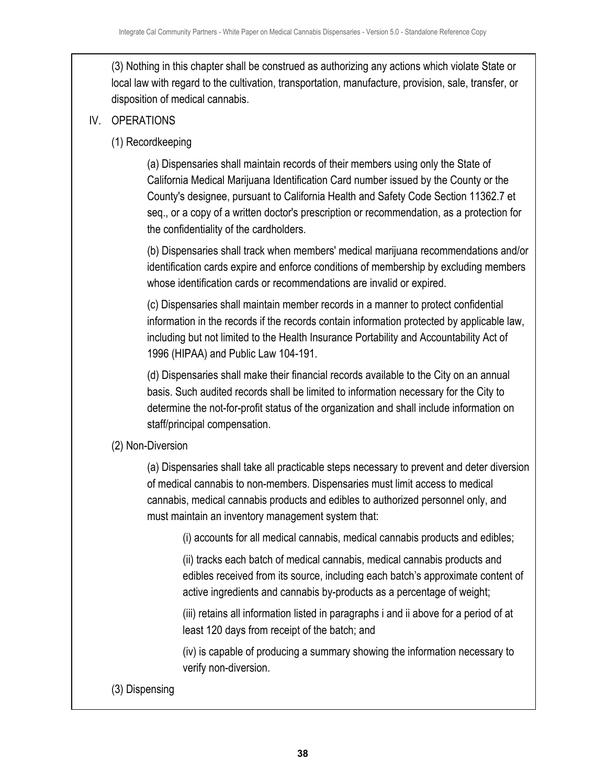(3) Nothing in this chapter shall be construed as authorizing any actions which violate State or local law with regard to the cultivation, transportation, manufacture, provision, sale, transfer, or disposition of medical cannabis.

#### IV. OPERATIONS

(1) Recordkeeping

(a) Dispensaries shall maintain records of their members using only the State of California Medical Marijuana Identification Card number issued by the County or the County's designee, pursuant to California Health and Safety Code Section 11362.7 et seq., or a copy of a written doctor's prescription or recommendation, as a protection for the confidentiality of the cardholders.

(b) Dispensaries shall track when members' medical marijuana recommendations and/or identification cards expire and enforce conditions of membership by excluding members whose identification cards or recommendations are invalid or expired.

(c) Dispensaries shall maintain member records in a manner to protect confidential information in the records if the records contain information protected by applicable law, including but not limited to the Health Insurance Portability and Accountability Act of 1996 (HIPAA) and Public Law 104-191.

(d) Dispensaries shall make their financial records available to the City on an annual basis. Such audited records shall be limited to information necessary for the City to determine the not-for-profit status of the organization and shall include information on staff/principal compensation.

#### (2) Non-Diversion

(a) Dispensaries shall take all practicable steps necessary to prevent and deter diversion of medical cannabis to non-members. Dispensaries must limit access to medical cannabis, medical cannabis products and edibles to authorized personnel only, and must maintain an inventory management system that:

(i) accounts for all medical cannabis, medical cannabis products and edibles;

(ii) tracks each batch of medical cannabis, medical cannabis products and edibles received from its source, including each batch's approximate content of active ingredients and cannabis by-products as a percentage of weight;

(iii) retains all information listed in paragraphs i and ii above for a period of at least 120 days from receipt of the batch; and

(iv) is capable of producing a summary showing the information necessary to verify non-diversion.

(3) Dispensing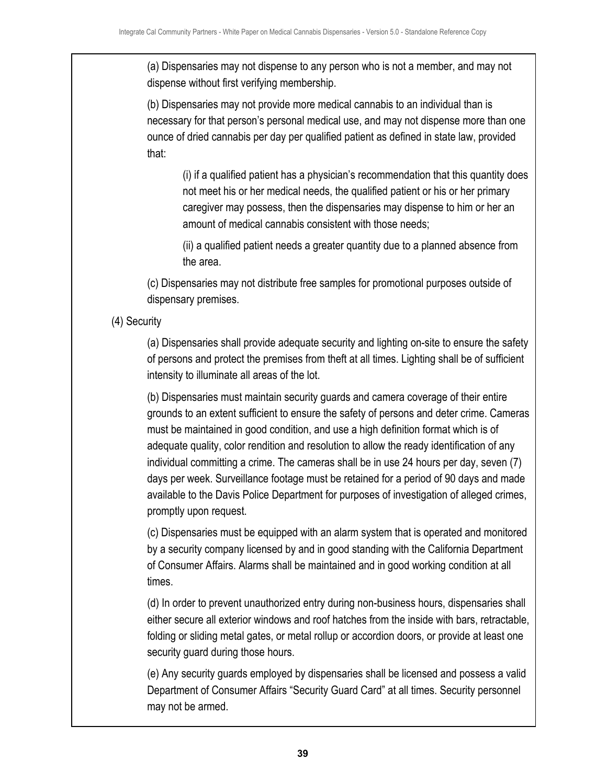(a) Dispensaries may not dispense to any person who is not a member, and may not dispense without first verifying membership.

(b) Dispensaries may not provide more medical cannabis to an individual than is necessary for that person's personal medical use, and may not dispense more than one ounce of dried cannabis per day per qualified patient as defined in state law, provided that:

(i) if a qualified patient has a physician's recommendation that this quantity does not meet his or her medical needs, the qualified patient or his or her primary caregiver may possess, then the dispensaries may dispense to him or her an amount of medical cannabis consistent with those needs;

(ii) a qualified patient needs a greater quantity due to a planned absence from the area.

(c) Dispensaries may not distribute free samples for promotional purposes outside of dispensary premises.

#### (4) Security

(a) Dispensaries shall provide adequate security and lighting on-site to ensure the safety of persons and protect the premises from theft at all times. Lighting shall be of sufficient intensity to illuminate all areas of the lot.

(b) Dispensaries must maintain security guards and camera coverage of their entire grounds to an extent sufficient to ensure the safety of persons and deter crime. Cameras must be maintained in good condition, and use a high definition format which is of adequate quality, color rendition and resolution to allow the ready identification of any individual committing a crime. The cameras shall be in use 24 hours per day, seven (7) days per week. Surveillance footage must be retained for a period of 90 days and made available to the Davis Police Department for purposes of investigation of alleged crimes, promptly upon request.

(c) Dispensaries must be equipped with an alarm system that is operated and monitored by a security company licensed by and in good standing with the California Department of Consumer Affairs. Alarms shall be maintained and in good working condition at all times.

(d) In order to prevent unauthorized entry during non-business hours, dispensaries shall either secure all exterior windows and roof hatches from the inside with bars, retractable, folding or sliding metal gates, or metal rollup or accordion doors, or provide at least one security guard during those hours.

(e) Any security guards employed by dispensaries shall be licensed and possess a valid Department of Consumer Affairs "Security Guard Card" at all times. Security personnel may not be armed.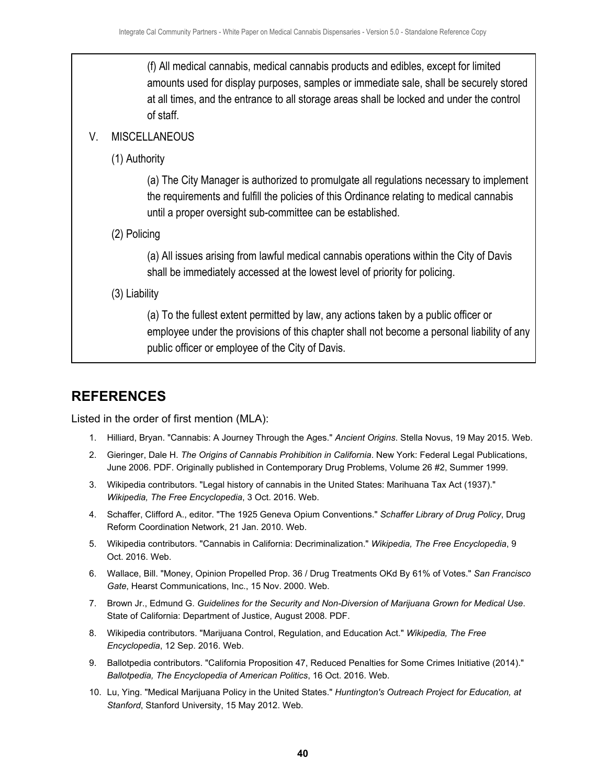(f) All medical cannabis, medical cannabis products and edibles, except for limited amounts used for display purposes, samples or immediate sale, shall be securely stored at all times, and the entrance to all storage areas shall be locked and under the control of staff.

#### V. MISCELLANEOUS

(1) Authority

(a) The City Manager is authorized to promulgate all regulations necessary to implement the requirements and fulfill the policies of this Ordinance relating to medical cannabis until a proper oversight sub-committee can be established.

(2) Policing

(a) All issues arising from lawful medical cannabis operations within the City of Davis shall be immediately accessed at the lowest level of priority for policing.

(3) Liability

(a) To the fullest extent permitted by law, any actions taken by a public officer or employee under the provisions of this chapter shall not become a personal liability of any public officer or employee of the City of Davis.

# <span id="page-40-0"></span>**REFERENCES**

Listed in the order of first mention (MLA):

- 1. Hilliard, Bryan. "Cannabis: A Journey Through the Ages." *Ancient Origins*. Stella Novus, 19 May 2015. Web.
- 2. Gieringer, Dale H. *The Origins of Cannabis Prohibition in California*. New York: Federal Legal Publications, June 2006. PDF. Originally published in Contemporary Drug Problems, Volume 26 #2, Summer 1999.
- 3. Wikipedia contributors. "Legal history of cannabis in the United States: Marihuana Tax Act (1937)." *Wikipedia, The Free Encyclopedia*, 3 Oct. 2016. Web.
- 4. Schaffer, Clifford A., editor. "The 1925 Geneva Opium Conventions." *Schaffer Library of Drug Policy*, Drug Reform Coordination Network, 21 Jan. 2010. Web.
- 5. Wikipedia contributors. "Cannabis in California: Decriminalization." *Wikipedia, The Free Encyclopedia*, 9 Oct. 2016. Web.
- 6. Wallace, Bill. "Money, Opinion Propelled Prop. 36 / Drug Treatments OKd By 61% of Votes." *San Francisco Gate*, Hearst Communications, Inc., 15 Nov. 2000. Web.
- 7. Brown Jr., Edmund G. *Guidelines for the Security and Non-Diversion of Marijuana Grown for Medical Use*. State of California: Department of Justice, August 2008. PDF.
- 8. Wikipedia contributors. "Marijuana Control, Regulation, and Education Act." *Wikipedia, The Free Encyclopedia*, 12 Sep. 2016. Web.
- 9. Ballotpedia contributors. "California Proposition 47, Reduced Penalties for Some Crimes Initiative (2014)." *Ballotpedia, The Encyclopedia of American Politics*, 16 Oct. 2016. Web.
- 10. Lu, Ying. "Medical Marijuana Policy in the United States." *Huntington's Outreach Project for Education, at Stanford*, Stanford University, 15 May 2012. Web.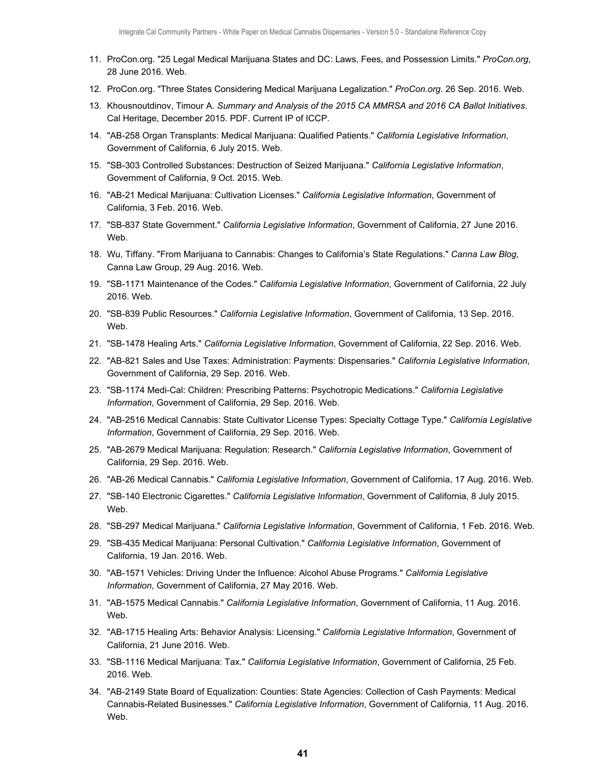- 11. ProCon.org. "25 Legal Medical Marijuana States and DC: Laws, Fees, and Possession Limits." *ProCon.org*, 28 June 2016. Web.
- 12. ProCon.org. "Three States Considering Medical Marijuana Legalization." *ProCon.org*. 26 Sep. 2016. Web.
- 13. Khousnoutdinov, Timour A. *Summary and Analysis of the 2015 CA MMRSA and 2016 CA Ballot Initiatives*. Cal Heritage, December 2015. PDF. Current IP of ICCP.
- 14. "AB-258 Organ Transplants: Medical Marijuana: Qualified Patients." *California Legislative Information*, Government of California, 6 July 2015. Web.
- 15. "SB-303 Controlled Substances: Destruction of Seized Marijuana." *California Legislative Information*, Government of California, 9 Oct. 2015. Web.
- 16. "AB-21 Medical Marijuana: Cultivation Licenses." *California Legislative Information*, Government of California, 3 Feb. 2016. Web.
- 17. "SB-837 State Government." *California Legislative Information*, Government of California, 27 June 2016. Web.
- 18. Wu, Tiffany. "From Marijuana to Cannabis: Changes to California's State Regulations." *Canna Law Blog*, Canna Law Group, 29 Aug. 2016. Web.
- 19. "SB-1171 Maintenance of the Codes." *California Legislative Information*, Government of California, 22 July 2016. Web.
- 20. "SB-839 Public Resources." *California Legislative Information*, Government of California, 13 Sep. 2016. Web.
- 21. "SB-1478 Healing Arts." *California Legislative Information*, Government of California, 22 Sep. 2016. Web.
- 22. "AB-821 Sales and Use Taxes: Administration: Payments: Dispensaries." *California Legislative Information*, Government of California, 29 Sep. 2016. Web.
- 23. "SB-1174 Medi-Cal: Children: Prescribing Patterns: Psychotropic Medications." *California Legislative Information*, Government of California, 29 Sep. 2016. Web.
- 24. "AB-2516 Medical Cannabis: State Cultivator License Types: Specialty Cottage Type." *California Legislative Information*, Government of California, 29 Sep. 2016. Web.
- 25. "AB-2679 Medical Marijuana: Regulation: Research." *California Legislative Information*, Government of California, 29 Sep. 2016. Web.
- 26. "AB-26 Medical Cannabis." *California Legislative Information*, Government of California, 17 Aug. 2016. Web.
- 27. "SB-140 Electronic Cigarettes." *California Legislative Information*, Government of California, 8 July 2015. Web.
- 28. "SB-297 Medical Marijuana." *California Legislative Information*, Government of California, 1 Feb. 2016. Web.
- 29. "SB-435 Medical Marijuana: Personal Cultivation." *California Legislative Information*, Government of California, 19 Jan. 2016. Web.
- 30. "AB-1571 Vehicles: Driving Under the Influence: Alcohol Abuse Programs." *California Legislative Information*, Government of California, 27 May 2016. Web.
- 31. "AB-1575 Medical Cannabis." *California Legislative Information*, Government of California, 11 Aug. 2016. Web.
- 32. "AB-1715 Healing Arts: Behavior Analysis: Licensing." *California Legislative Information*, Government of California, 21 June 2016. Web.
- 33. "SB-1116 Medical Marijuana: Tax." *California Legislative Information*, Government of California, 25 Feb. 2016. Web.
- 34. "AB-2149 State Board of Equalization: Counties: State Agencies: Collection of Cash Payments: Medical Cannabis-Related Businesses." *California Legislative Information*, Government of California, 11 Aug. 2016. Web.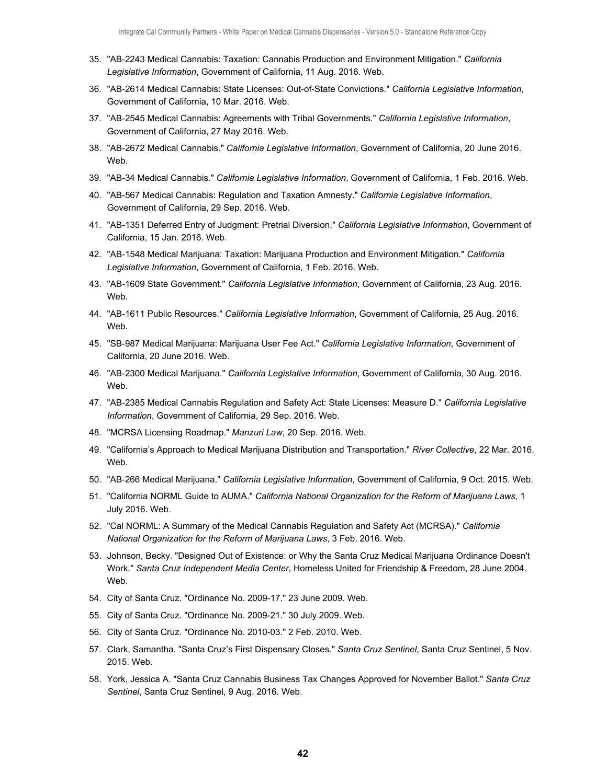- 35. "AB-2243 Medical Cannabis: Taxation: Cannabis Production and Environment Mitigation." *California Legislative Information*, Government of California, 11 Aug. 2016. Web.
- 36. "AB-2614 Medical Cannabis: State Licenses: Out-of-State Convictions." *California Legislative Information*, Government of California, 10 Mar. 2016. Web.
- 37. "AB-2545 Medical Cannabis: Agreements with Tribal Governments." *California Legislative Information*, Government of California, 27 May 2016. Web.
- 38. "AB-2672 Medical Cannabis." *California Legislative Information*, Government of California, 20 June 2016. Web.
- 39. "AB-34 Medical Cannabis." *California Legislative Information*, Government of California, 1 Feb. 2016. Web.
- 40. "AB-567 Medical Cannabis: Regulation and Taxation Amnesty." *California Legislative Information*, Government of California, 29 Sep. 2016. Web.
- 41. "AB-1351 Deferred Entry of Judgment: Pretrial Diversion." *California Legislative Information*, Government of California, 15 Jan. 2016. Web.
- 42. "AB-1548 Medical Marijuana: Taxation: Marijuana Production and Environment Mitigation." *California Legislative Information*, Government of California, 1 Feb. 2016. Web.
- 43. "AB-1609 State Government." *California Legislative Information*, Government of California, 23 Aug. 2016. Web.
- 44. "AB-1611 Public Resources." *California Legislative Information*, Government of California, 25 Aug. 2016. Web.
- 45. "SB-987 Medical Marijuana: Marijuana User Fee Act." *California Legislative Information*, Government of California, 20 June 2016. Web.
- 46. "AB-2300 Medical Marijuana." *California Legislative Information*, Government of California, 30 Aug. 2016. Web.
- 47. "AB-2385 Medical Cannabis Regulation and Safety Act: State Licenses: Measure D." *California Legislative Information*, Government of California, 29 Sep. 2016. Web.
- 48. "MCRSA Licensing Roadmap." *Manzuri Law*, 20 Sep. 2016. Web.
- 49. "California's Approach to Medical Marijuana Distribution and Transportation." *River Collective*, 22 Mar. 2016. Web.
- 50. "AB-266 Medical Marijuana." *California Legislative Information*, Government of California, 9 Oct. 2015. Web.
- 51. "California NORML Guide to AUMA." *California National Organization for the Reform of Marijuana Laws*, 1 July 2016. Web.
- 52. "Cal NORML: A Summary of the Medical Cannabis Regulation and Safety Act (MCRSA)." *California National Organization for the Reform of Marijuana Laws*, 3 Feb. 2016. Web.
- 53. Johnson, Becky. "Designed Out of Existence: or Why the Santa Cruz Medical Marijuana Ordinance Doesn't Work." *Santa Cruz Independent Media Center*, Homeless United for Friendship & Freedom, 28 June 2004. Web.
- 54. City of Santa Cruz. "Ordinance No. 2009-17." 23 June 2009. Web.
- 55. City of Santa Cruz. "Ordinance No. 2009-21." 30 July 2009. Web.
- 56. City of Santa Cruz. "Ordinance No. 2010-03." 2 Feb. 2010. Web.
- 57. Clark, Samantha. "Santa Cruz's First Dispensary Closes." *Santa Cruz Sentinel*, Santa Cruz Sentinel, 5 Nov. 2015. Web.
- 58. York, Jessica A. "Santa Cruz Cannabis Business Tax Changes Approved for November Ballot." *Santa Cruz Sentinel*, Santa Cruz Sentinel, 9 Aug. 2016. Web.